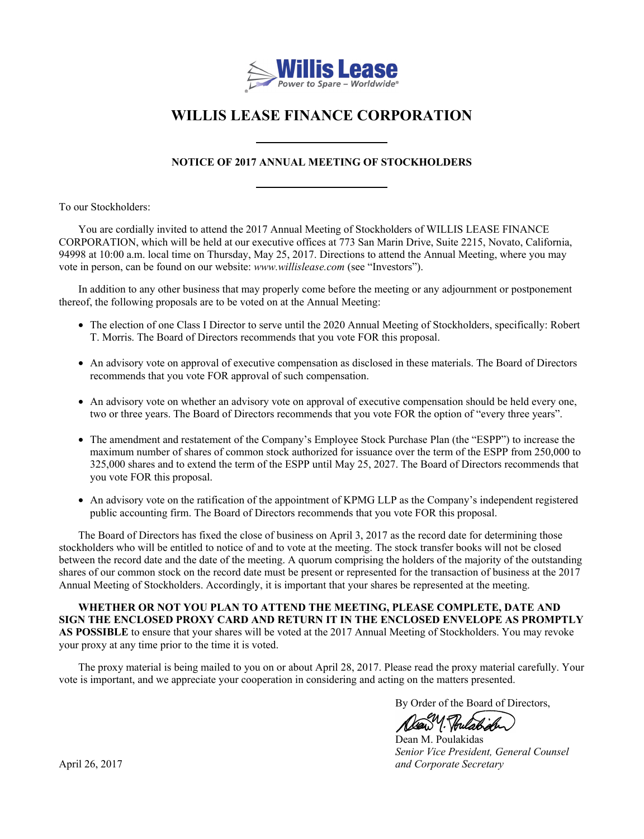

# **WILLIS LEASE FINANCE CORPORATION**

# **NOTICE OF 2017 ANNUAL MEETING OF STOCKHOLDERS**

To our Stockholders:

You are cordially invited to attend the 2017 Annual Meeting of Stockholders of WILLIS LEASE FINANCE CORPORATION, which will be held at our executive offices at 773 San Marin Drive, Suite 2215, Novato, California, 94998 at 10:00 a.m. local time on Thursday, May 25, 2017. Directions to attend the Annual Meeting, where you may vote in person, can be found on our website: *www.willislease.com* (see "Investors").

In addition to any other business that may properly come before the meeting or any adjournment or postponement thereof, the following proposals are to be voted on at the Annual Meeting:

- The election of one Class I Director to serve until the 2020 Annual Meeting of Stockholders, specifically: Robert T. Morris. The Board of Directors recommends that you vote FOR this proposal.
- An advisory vote on approval of executive compensation as disclosed in these materials. The Board of Directors recommends that you vote FOR approval of such compensation.
- An advisory vote on whether an advisory vote on approval of executive compensation should be held every one, two or three years. The Board of Directors recommends that you vote FOR the option of "every three years".
- The amendment and restatement of the Company's Employee Stock Purchase Plan (the "ESPP") to increase the maximum number of shares of common stock authorized for issuance over the term of the ESPP from 250,000 to 325,000 shares and to extend the term of the ESPP until May 25, 2027. The Board of Directors recommends that you vote FOR this proposal.
- An advisory vote on the ratification of the appointment of KPMG LLP as the Company's independent registered public accounting firm. The Board of Directors recommends that you vote FOR this proposal.

The Board of Directors has fixed the close of business on April 3, 2017 as the record date for determining those stockholders who will be entitled to notice of and to vote at the meeting. The stock transfer books will not be closed between the record date and the date of the meeting. A quorum comprising the holders of the majority of the outstanding shares of our common stock on the record date must be present or represented for the transaction of business at the 2017 Annual Meeting of Stockholders. Accordingly, it is important that your shares be represented at the meeting.

**WHETHER OR NOT YOU PLAN TO ATTEND THE MEETING, PLEASE COMPLETE, DATE AND SIGN THE ENCLOSED PROXY CARD AND RETURN IT IN THE ENCLOSED ENVELOPE AS PROMPTLY AS POSSIBLE** to ensure that your shares will be voted at the 2017 Annual Meeting of Stockholders. You may revoke your proxy at any time prior to the time it is voted.

The proxy material is being mailed to you on or about April 28, 2017. Please read the proxy material carefully. Your vote is important, and we appreciate your cooperation in considering and acting on the matters presented.

By Order of the Board of Directors,

1. Hulabe

 Dean M. Poulakidas *Senior Vice President, General Counsel* April 26, 2017 *and Corporate Secretary*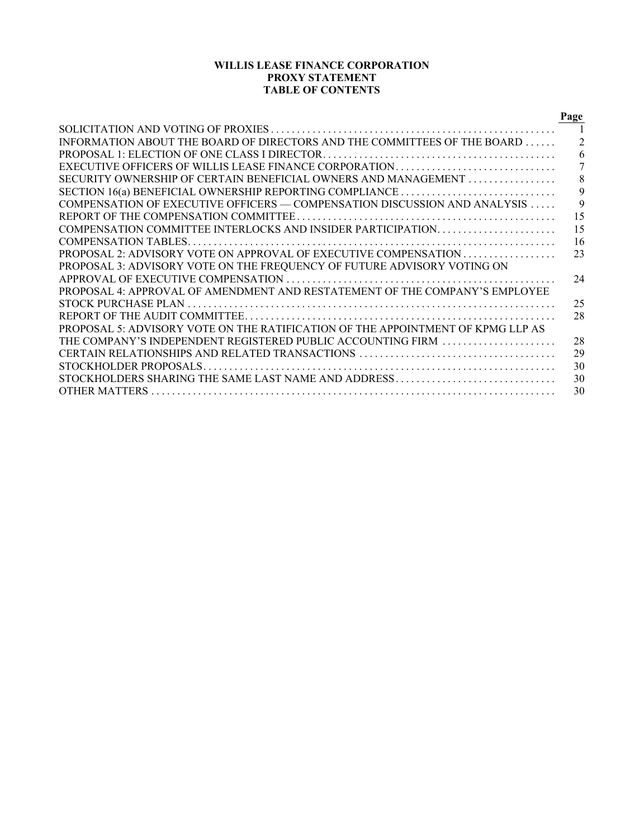# **WILLIS LEASE FINANCE CORPORATION PROXY STATEMENT TABLE OF CONTENTS**

|                                                                                   | Page           |
|-----------------------------------------------------------------------------------|----------------|
|                                                                                   |                |
| INFORMATION ABOUT THE BOARD OF DIRECTORS AND THE COMMITTEES OF THE BOARD          | $\overline{2}$ |
|                                                                                   | 6              |
| EXECUTIVE OFFICERS OF WILLIS LEASE FINANCE CORPORATION                            | 7              |
| SECURITY OWNERSHIP OF CERTAIN BENEFICIAL OWNERS AND MANAGEMENT                    | 8              |
| SECTION 16(a) BENEFICIAL OWNERSHIP REPORTING COMPLIANCE                           | 9              |
| COMPENSATION OF EXECUTIVE OFFICERS — COMPENSATION DISCUSSION AND ANALYSIS         | 9              |
|                                                                                   | 15             |
| COMPENSATION COMMITTEE INTERLOCKS AND INSIDER PARTICIPATION                       | 15             |
|                                                                                   | 16             |
| <b>PROPOSAL 2: ADVISORY VOTE ON APPROVAL OF EXECUTIVE COMPENSATION CONCERNING</b> | 23             |
| PROPOSAL 3: ADVISORY VOTE ON THE FREQUENCY OF FUTURE ADVISORY VOTING ON           |                |
|                                                                                   | 24             |
| PROPOSAL 4: APPROVAL OF AMENDMENT AND RESTATEMENT OF THE COMPANY'S EMPLOYEE       |                |
|                                                                                   | 25             |
|                                                                                   | 28             |
| PROPOSAL 5: ADVISORY VOTE ON THE RATIFICATION OF THE APPOINTMENT OF KPMG LLP AS   |                |
| THE COMPANY'S INDEPENDENT REGISTERED PUBLIC ACCOUNTING FIRM                       | 28             |
|                                                                                   | 29             |
|                                                                                   | 30             |
| STOCKHOLDERS SHARING THE SAME LAST NAME AND ADDRESS                               | 30             |
|                                                                                   | 30             |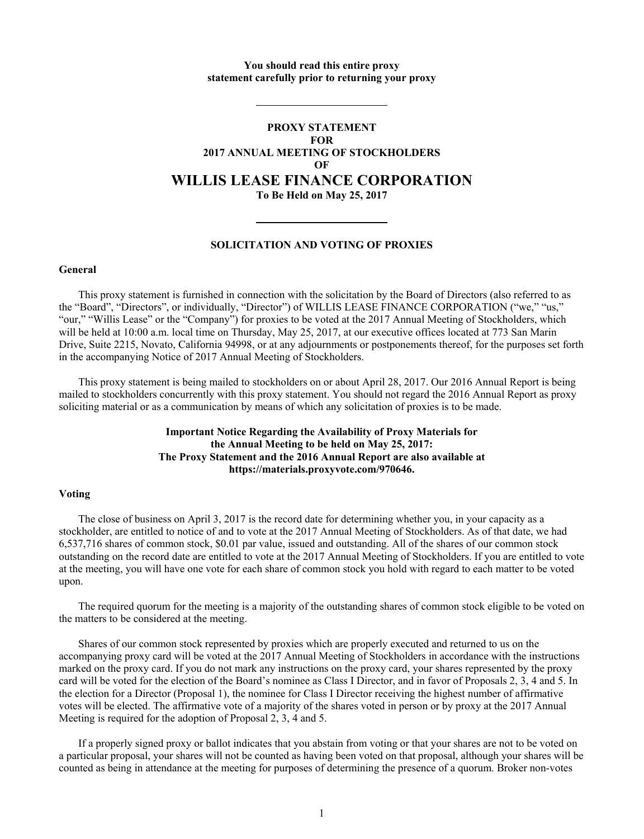# **You should read this entire proxy statement carefully prior to returning your proxy**

# **PROXY STATEMENT FOR 2017 ANNUAL MEETING OF STOCKHOLDERS OF WILLIS LEASE FINANCE CORPORATION To Be Held on May 25, 2017**

# **SOLICITATION AND VOTING OF PROXIES**

# **General**

This proxy statement is furnished in connection with the solicitation by the Board of Directors (also referred to as the "Board", "Directors", or individually, "Director") of WILLIS LEASE FINANCE CORPORATION ("we," "us," "our," "Willis Lease" or the "Company") for proxies to be voted at the 2017 Annual Meeting of Stockholders, which will be held at 10:00 a.m. local time on Thursday, May 25, 2017, at our executive offices located at 773 San Marin Drive, Suite 2215, Novato, California 94998, or at any adjournments or postponements thereof, for the purposes set forth in the accompanying Notice of 2017 Annual Meeting of Stockholders.

This proxy statement is being mailed to stockholders on or about April 28, 2017. Our 2016 Annual Report is being mailed to stockholders concurrently with this proxy statement. You should not regard the 2016 Annual Report as proxy soliciting material or as a communication by means of which any solicitation of proxies is to be made.

> **Important Notice Regarding the Availability of Proxy Materials for the Annual Meeting to be held on May 25, 2017: The Proxy Statement and the 2016 Annual Report are also available at https://materials.proxyvote.com/970646.**

# **Voting**

The close of business on April 3, 2017 is the record date for determining whether you, in your capacity as a stockholder, are entitled to notice of and to vote at the 2017 Annual Meeting of Stockholders. As of that date, we had 6,537,716 shares of common stock, \$0.01 par value, issued and outstanding. All of the shares of our common stock outstanding on the record date are entitled to vote at the 2017 Annual Meeting of Stockholders. If you are entitled to vote at the meeting, you will have one vote for each share of common stock you hold with regard to each matter to be voted upon.

The required quorum for the meeting is a majority of the outstanding shares of common stock eligible to be voted on the matters to be considered at the meeting.

Shares of our common stock represented by proxies which are properly executed and returned to us on the accompanying proxy card will be voted at the 2017 Annual Meeting of Stockholders in accordance with the instructions marked on the proxy card. If you do not mark any instructions on the proxy card, your shares represented by the proxy card will be voted for the election of the Board's nominee as Class I Director, and in favor of Proposals 2, 3, 4 and 5. In the election for a Director (Proposal 1), the nominee for Class I Director receiving the highest number of affirmative votes will be elected. The affirmative vote of a majority of the shares voted in person or by proxy at the 2017 Annual Meeting is required for the adoption of Proposal 2, 3, 4 and 5.

If a properly signed proxy or ballot indicates that you abstain from voting or that your shares are not to be voted on a particular proposal, your shares will not be counted as having been voted on that proposal, although your shares will be counted as being in attendance at the meeting for purposes of determining the presence of a quorum. Broker non-votes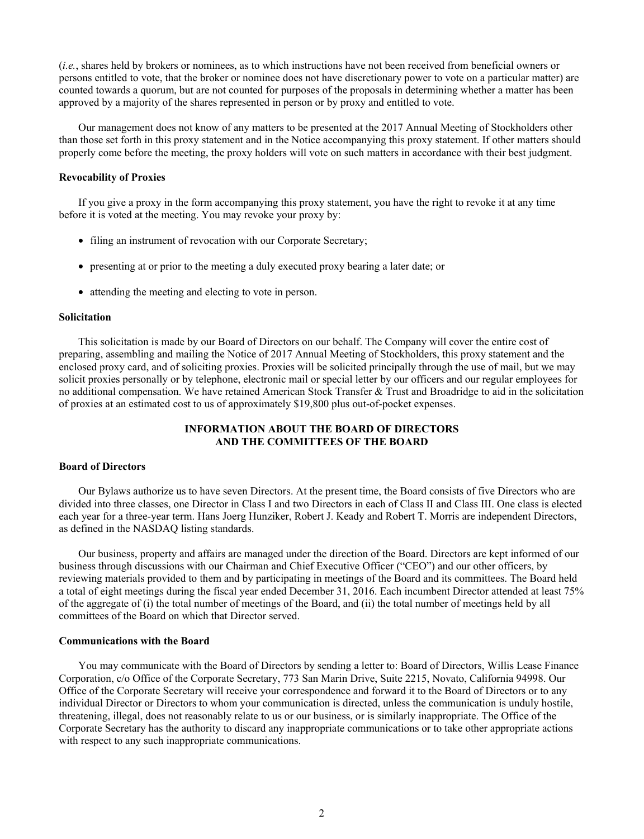(*i.e.*, shares held by brokers or nominees, as to which instructions have not been received from beneficial owners or persons entitled to vote, that the broker or nominee does not have discretionary power to vote on a particular matter) are counted towards a quorum, but are not counted for purposes of the proposals in determining whether a matter has been approved by a majority of the shares represented in person or by proxy and entitled to vote.

Our management does not know of any matters to be presented at the 2017 Annual Meeting of Stockholders other than those set forth in this proxy statement and in the Notice accompanying this proxy statement. If other matters should properly come before the meeting, the proxy holders will vote on such matters in accordance with their best judgment.

#### **Revocability of Proxies**

If you give a proxy in the form accompanying this proxy statement, you have the right to revoke it at any time before it is voted at the meeting. You may revoke your proxy by:

- filing an instrument of revocation with our Corporate Secretary:
- presenting at or prior to the meeting a duly executed proxy bearing a later date; or
- attending the meeting and electing to vote in person.

#### **Solicitation**

This solicitation is made by our Board of Directors on our behalf. The Company will cover the entire cost of preparing, assembling and mailing the Notice of 2017 Annual Meeting of Stockholders, this proxy statement and the enclosed proxy card, and of soliciting proxies. Proxies will be solicited principally through the use of mail, but we may solicit proxies personally or by telephone, electronic mail or special letter by our officers and our regular employees for no additional compensation. We have retained American Stock Transfer & Trust and Broadridge to aid in the solicitation of proxies at an estimated cost to us of approximately \$19,800 plus out-of-pocket expenses.

# **INFORMATION ABOUT THE BOARD OF DIRECTORS AND THE COMMITTEES OF THE BOARD**

# **Board of Directors**

Our Bylaws authorize us to have seven Directors. At the present time, the Board consists of five Directors who are divided into three classes, one Director in Class I and two Directors in each of Class II and Class III. One class is elected each year for a three-year term. Hans Joerg Hunziker, Robert J. Keady and Robert T. Morris are independent Directors, as defined in the NASDAQ listing standards.

Our business, property and affairs are managed under the direction of the Board. Directors are kept informed of our business through discussions with our Chairman and Chief Executive Officer ("CEO") and our other officers, by reviewing materials provided to them and by participating in meetings of the Board and its committees. The Board held a total of eight meetings during the fiscal year ended December 31, 2016. Each incumbent Director attended at least 75% of the aggregate of (i) the total number of meetings of the Board, and (ii) the total number of meetings held by all committees of the Board on which that Director served.

#### **Communications with the Board**

You may communicate with the Board of Directors by sending a letter to: Board of Directors, Willis Lease Finance Corporation, c/o Office of the Corporate Secretary, 773 San Marin Drive, Suite 2215, Novato, California 94998. Our Office of the Corporate Secretary will receive your correspondence and forward it to the Board of Directors or to any individual Director or Directors to whom your communication is directed, unless the communication is unduly hostile, threatening, illegal, does not reasonably relate to us or our business, or is similarly inappropriate. The Office of the Corporate Secretary has the authority to discard any inappropriate communications or to take other appropriate actions with respect to any such inappropriate communications.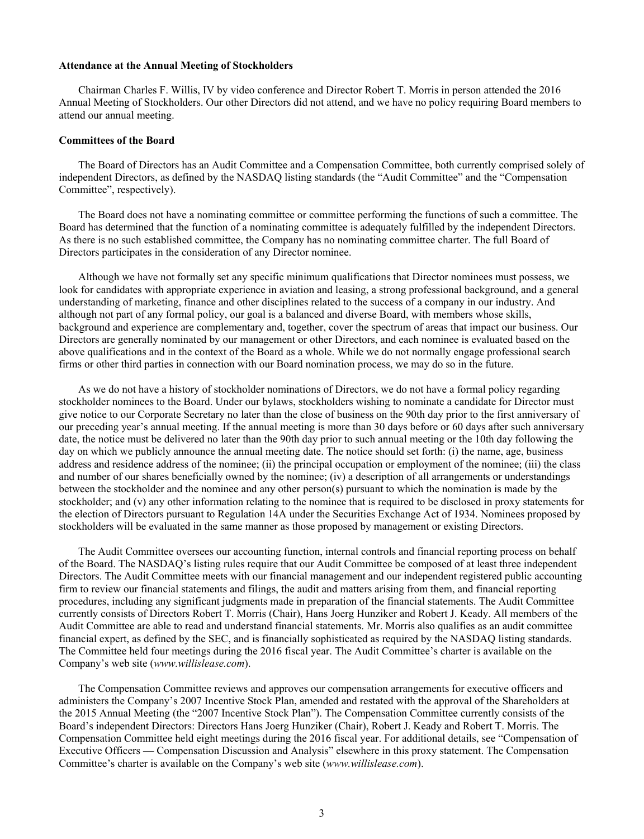#### **Attendance at the Annual Meeting of Stockholders**

Chairman Charles F. Willis, IV by video conference and Director Robert T. Morris in person attended the 2016 Annual Meeting of Stockholders. Our other Directors did not attend, and we have no policy requiring Board members to attend our annual meeting.

#### **Committees of the Board**

The Board of Directors has an Audit Committee and a Compensation Committee, both currently comprised solely of independent Directors, as defined by the NASDAQ listing standards (the "Audit Committee" and the "Compensation Committee", respectively).

The Board does not have a nominating committee or committee performing the functions of such a committee. The Board has determined that the function of a nominating committee is adequately fulfilled by the independent Directors. As there is no such established committee, the Company has no nominating committee charter. The full Board of Directors participates in the consideration of any Director nominee.

Although we have not formally set any specific minimum qualifications that Director nominees must possess, we look for candidates with appropriate experience in aviation and leasing, a strong professional background, and a general understanding of marketing, finance and other disciplines related to the success of a company in our industry. And although not part of any formal policy, our goal is a balanced and diverse Board, with members whose skills, background and experience are complementary and, together, cover the spectrum of areas that impact our business. Our Directors are generally nominated by our management or other Directors, and each nominee is evaluated based on the above qualifications and in the context of the Board as a whole. While we do not normally engage professional search firms or other third parties in connection with our Board nomination process, we may do so in the future.

As we do not have a history of stockholder nominations of Directors, we do not have a formal policy regarding stockholder nominees to the Board. Under our bylaws, stockholders wishing to nominate a candidate for Director must give notice to our Corporate Secretary no later than the close of business on the 90th day prior to the first anniversary of our preceding year's annual meeting. If the annual meeting is more than 30 days before or 60 days after such anniversary date, the notice must be delivered no later than the 90th day prior to such annual meeting or the 10th day following the day on which we publicly announce the annual meeting date. The notice should set forth: (i) the name, age, business address and residence address of the nominee; (ii) the principal occupation or employment of the nominee; (iii) the class and number of our shares beneficially owned by the nominee; (iv) a description of all arrangements or understandings between the stockholder and the nominee and any other person(s) pursuant to which the nomination is made by the stockholder; and (v) any other information relating to the nominee that is required to be disclosed in proxy statements for the election of Directors pursuant to Regulation 14A under the Securities Exchange Act of 1934. Nominees proposed by stockholders will be evaluated in the same manner as those proposed by management or existing Directors.

The Audit Committee oversees our accounting function, internal controls and financial reporting process on behalf of the Board. The NASDAQ's listing rules require that our Audit Committee be composed of at least three independent Directors. The Audit Committee meets with our financial management and our independent registered public accounting firm to review our financial statements and filings, the audit and matters arising from them, and financial reporting procedures, including any significant judgments made in preparation of the financial statements. The Audit Committee currently consists of Directors Robert T. Morris (Chair), Hans Joerg Hunziker and Robert J. Keady. All members of the Audit Committee are able to read and understand financial statements. Mr. Morris also qualifies as an audit committee financial expert, as defined by the SEC, and is financially sophisticated as required by the NASDAQ listing standards. The Committee held four meetings during the 2016 fiscal year. The Audit Committee's charter is available on the Company's web site (*www.willislease.com*).

The Compensation Committee reviews and approves our compensation arrangements for executive officers and administers the Company's 2007 Incentive Stock Plan, amended and restated with the approval of the Shareholders at the 2015 Annual Meeting (the "2007 Incentive Stock Plan"). The Compensation Committee currently consists of the Board's independent Directors: Directors Hans Joerg Hunziker (Chair), Robert J. Keady and Robert T. Morris. The Compensation Committee held eight meetings during the 2016 fiscal year. For additional details, see "Compensation of Executive Officers — Compensation Discussion and Analysis" elsewhere in this proxy statement. The Compensation Committee's charter is available on the Company's web site (*www.willislease.com*).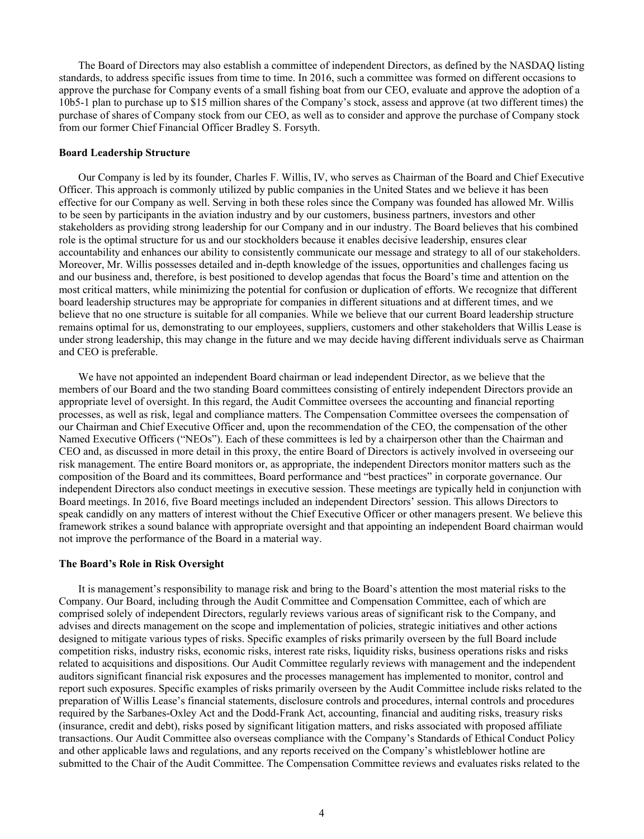The Board of Directors may also establish a committee of independent Directors, as defined by the NASDAQ listing standards, to address specific issues from time to time. In 2016, such a committee was formed on different occasions to approve the purchase for Company events of a small fishing boat from our CEO, evaluate and approve the adoption of a 10b5-1 plan to purchase up to \$15 million shares of the Company's stock, assess and approve (at two different times) the purchase of shares of Company stock from our CEO, as well as to consider and approve the purchase of Company stock from our former Chief Financial Officer Bradley S. Forsyth.

# **Board Leadership Structure**

Our Company is led by its founder, Charles F. Willis, IV, who serves as Chairman of the Board and Chief Executive Officer. This approach is commonly utilized by public companies in the United States and we believe it has been effective for our Company as well. Serving in both these roles since the Company was founded has allowed Mr. Willis to be seen by participants in the aviation industry and by our customers, business partners, investors and other stakeholders as providing strong leadership for our Company and in our industry. The Board believes that his combined role is the optimal structure for us and our stockholders because it enables decisive leadership, ensures clear accountability and enhances our ability to consistently communicate our message and strategy to all of our stakeholders. Moreover, Mr. Willis possesses detailed and in-depth knowledge of the issues, opportunities and challenges facing us and our business and, therefore, is best positioned to develop agendas that focus the Board's time and attention on the most critical matters, while minimizing the potential for confusion or duplication of efforts. We recognize that different board leadership structures may be appropriate for companies in different situations and at different times, and we believe that no one structure is suitable for all companies. While we believe that our current Board leadership structure remains optimal for us, demonstrating to our employees, suppliers, customers and other stakeholders that Willis Lease is under strong leadership, this may change in the future and we may decide having different individuals serve as Chairman and CEO is preferable.

We have not appointed an independent Board chairman or lead independent Director, as we believe that the members of our Board and the two standing Board committees consisting of entirely independent Directors provide an appropriate level of oversight. In this regard, the Audit Committee oversees the accounting and financial reporting processes, as well as risk, legal and compliance matters. The Compensation Committee oversees the compensation of our Chairman and Chief Executive Officer and, upon the recommendation of the CEO, the compensation of the other Named Executive Officers ("NEOs"). Each of these committees is led by a chairperson other than the Chairman and CEO and, as discussed in more detail in this proxy, the entire Board of Directors is actively involved in overseeing our risk management. The entire Board monitors or, as appropriate, the independent Directors monitor matters such as the composition of the Board and its committees, Board performance and "best practices" in corporate governance. Our independent Directors also conduct meetings in executive session. These meetings are typically held in conjunction with Board meetings. In 2016, five Board meetings included an independent Directors' session. This allows Directors to speak candidly on any matters of interest without the Chief Executive Officer or other managers present. We believe this framework strikes a sound balance with appropriate oversight and that appointing an independent Board chairman would not improve the performance of the Board in a material way.

#### **The Board's Role in Risk Oversight**

It is management's responsibility to manage risk and bring to the Board's attention the most material risks to the Company. Our Board, including through the Audit Committee and Compensation Committee, each of which are comprised solely of independent Directors, regularly reviews various areas of significant risk to the Company, and advises and directs management on the scope and implementation of policies, strategic initiatives and other actions designed to mitigate various types of risks. Specific examples of risks primarily overseen by the full Board include competition risks, industry risks, economic risks, interest rate risks, liquidity risks, business operations risks and risks related to acquisitions and dispositions. Our Audit Committee regularly reviews with management and the independent auditors significant financial risk exposures and the processes management has implemented to monitor, control and report such exposures. Specific examples of risks primarily overseen by the Audit Committee include risks related to the preparation of Willis Lease's financial statements, disclosure controls and procedures, internal controls and procedures required by the Sarbanes-Oxley Act and the Dodd-Frank Act, accounting, financial and auditing risks, treasury risks (insurance, credit and debt), risks posed by significant litigation matters, and risks associated with proposed affiliate transactions. Our Audit Committee also overseas compliance with the Company's Standards of Ethical Conduct Policy and other applicable laws and regulations, and any reports received on the Company's whistleblower hotline are submitted to the Chair of the Audit Committee. The Compensation Committee reviews and evaluates risks related to the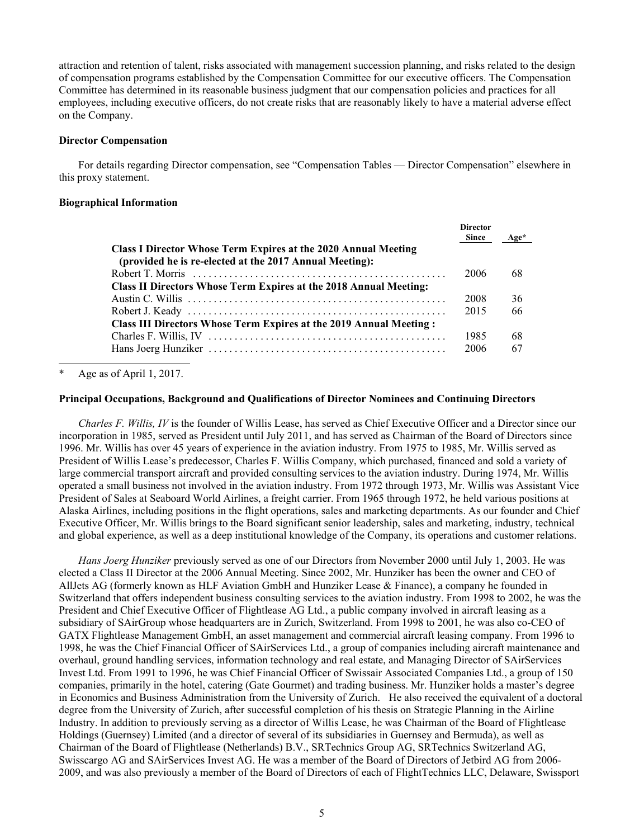attraction and retention of talent, risks associated with management succession planning, and risks related to the design of compensation programs established by the Compensation Committee for our executive officers. The Compensation Committee has determined in its reasonable business judgment that our compensation policies and practices for all employees, including executive officers, do not create risks that are reasonably likely to have a material adverse effect on the Company.

# **Director Compensation**

For details regarding Director compensation, see "Compensation Tables — Director Compensation" elsewhere in this proxy statement.

#### **Biographical Information**

|                                                                                                                                  | <b>Director</b><br><b>Since</b> | Age* |
|----------------------------------------------------------------------------------------------------------------------------------|---------------------------------|------|
| <b>Class I Director Whose Term Expires at the 2020 Annual Meeting</b><br>(provided he is re-elected at the 2017 Annual Meeting): |                                 |      |
|                                                                                                                                  | 2006                            | 68   |
| Class II Directors Whose Term Expires at the 2018 Annual Meeting:                                                                |                                 |      |
|                                                                                                                                  | 2008                            | 36   |
|                                                                                                                                  | 2015                            | 66   |
| Class III Directors Whose Term Expires at the 2019 Annual Meeting :                                                              |                                 |      |
|                                                                                                                                  | 1985                            | 68   |
|                                                                                                                                  | 2006                            | 67   |

Age as of April 1, 2017.

# **Principal Occupations, Background and Qualifications of Director Nominees and Continuing Directors**

*Charles F. Willis, IV* is the founder of Willis Lease, has served as Chief Executive Officer and a Director since our incorporation in 1985, served as President until July 2011, and has served as Chairman of the Board of Directors since 1996. Mr. Willis has over 45 years of experience in the aviation industry. From 1975 to 1985, Mr. Willis served as President of Willis Lease's predecessor, Charles F. Willis Company, which purchased, financed and sold a variety of large commercial transport aircraft and provided consulting services to the aviation industry. During 1974, Mr. Willis operated a small business not involved in the aviation industry. From 1972 through 1973, Mr. Willis was Assistant Vice President of Sales at Seaboard World Airlines, a freight carrier. From 1965 through 1972, he held various positions at Alaska Airlines, including positions in the flight operations, sales and marketing departments. As our founder and Chief Executive Officer, Mr. Willis brings to the Board significant senior leadership, sales and marketing, industry, technical and global experience, as well as a deep institutional knowledge of the Company, its operations and customer relations.

*Hans Joerg Hunziker* previously served as one of our Directors from November 2000 until July 1, 2003. He was elected a Class II Director at the 2006 Annual Meeting. Since 2002, Mr. Hunziker has been the owner and CEO of AllJets AG (formerly known as HLF Aviation GmbH and Hunziker Lease & Finance), a company he founded in Switzerland that offers independent business consulting services to the aviation industry. From 1998 to 2002, he was the President and Chief Executive Officer of Flightlease AG Ltd., a public company involved in aircraft leasing as a subsidiary of SAirGroup whose headquarters are in Zurich, Switzerland. From 1998 to 2001, he was also co-CEO of GATX Flightlease Management GmbH, an asset management and commercial aircraft leasing company. From 1996 to 1998, he was the Chief Financial Officer of SAirServices Ltd., a group of companies including aircraft maintenance and overhaul, ground handling services, information technology and real estate, and Managing Director of SAirServices Invest Ltd. From 1991 to 1996, he was Chief Financial Officer of Swissair Associated Companies Ltd., a group of 150 companies, primarily in the hotel, catering (Gate Gourmet) and trading business. Mr. Hunziker holds a master's degree in Economics and Business Administration from the University of Zurich. He also received the equivalent of a doctoral degree from the University of Zurich, after successful completion of his thesis on Strategic Planning in the Airline Industry. In addition to previously serving as a director of Willis Lease, he was Chairman of the Board of Flightlease Holdings (Guernsey) Limited (and a director of several of its subsidiaries in Guernsey and Bermuda), as well as Chairman of the Board of Flightlease (Netherlands) B.V., SRTechnics Group AG, SRTechnics Switzerland AG, Swisscargo AG and SAirServices Invest AG. He was a member of the Board of Directors of Jetbird AG from 2006- 2009, and was also previously a member of the Board of Directors of each of FlightTechnics LLC, Delaware, Swissport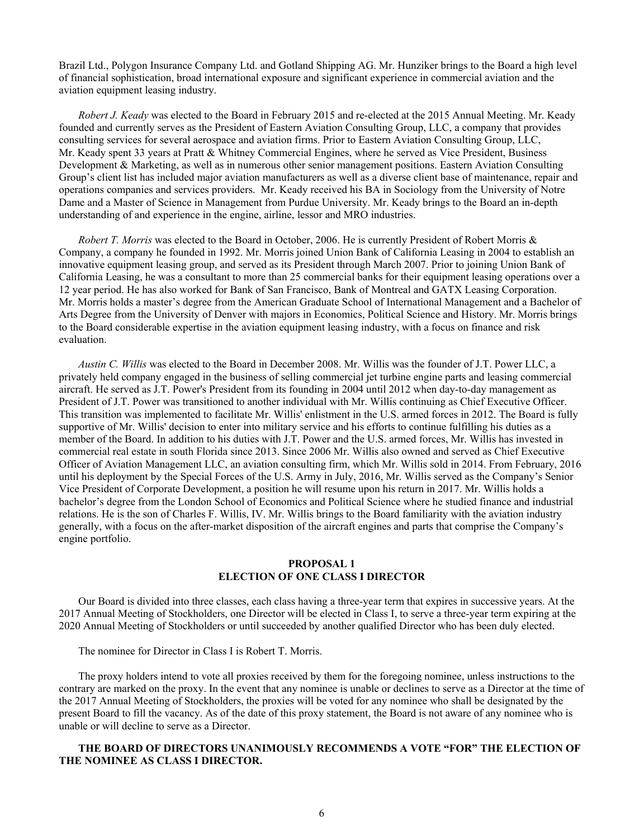Brazil Ltd., Polygon Insurance Company Ltd. and Gotland Shipping AG. Mr. Hunziker brings to the Board a high level of financial sophistication, broad international exposure and significant experience in commercial aviation and the aviation equipment leasing industry.

*Robert J. Keady* was elected to the Board in February 2015 and re-elected at the 2015 Annual Meeting. Mr. Keady founded and currently serves as the President of Eastern Aviation Consulting Group, LLC, a company that provides consulting services for several aerospace and aviation firms. Prior to Eastern Aviation Consulting Group, LLC, Mr. Keady spent 33 years at Pratt & Whitney Commercial Engines, where he served as Vice President, Business Development & Marketing, as well as in numerous other senior management positions. Eastern Aviation Consulting Group's client list has included major aviation manufacturers as well as a diverse client base of maintenance, repair and operations companies and services providers. Mr. Keady received his BA in Sociology from the University of Notre Dame and a Master of Science in Management from Purdue University. Mr. Keady brings to the Board an in-depth understanding of and experience in the engine, airline, lessor and MRO industries.

*Robert T. Morris* was elected to the Board in October, 2006. He is currently President of Robert Morris & Company, a company he founded in 1992. Mr. Morris joined Union Bank of California Leasing in 2004 to establish an innovative equipment leasing group, and served as its President through March 2007. Prior to joining Union Bank of California Leasing, he was a consultant to more than 25 commercial banks for their equipment leasing operations over a 12 year period. He has also worked for Bank of San Francisco, Bank of Montreal and GATX Leasing Corporation. Mr. Morris holds a master's degree from the American Graduate School of International Management and a Bachelor of Arts Degree from the University of Denver with majors in Economics, Political Science and History. Mr. Morris brings to the Board considerable expertise in the aviation equipment leasing industry, with a focus on finance and risk evaluation.

*Austin C. Willis* was elected to the Board in December 2008. Mr. Willis was the founder of J.T. Power LLC, a privately held company engaged in the business of selling commercial jet turbine engine parts and leasing commercial aircraft. He served as J.T. Power's President from its founding in 2004 until 2012 when day-to-day management as President of J.T. Power was transitioned to another individual with Mr. Willis continuing as Chief Executive Officer. This transition was implemented to facilitate Mr. Willis' enlistment in the U.S. armed forces in 2012. The Board is fully supportive of Mr. Willis' decision to enter into military service and his efforts to continue fulfilling his duties as a member of the Board. In addition to his duties with J.T. Power and the U.S. armed forces, Mr. Willis has invested in commercial real estate in south Florida since 2013. Since 2006 Mr. Willis also owned and served as Chief Executive Officer of Aviation Management LLC, an aviation consulting firm, which Mr. Willis sold in 2014. From February, 2016 until his deployment by the Special Forces of the U.S. Army in July, 2016, Mr. Willis served as the Company's Senior Vice President of Corporate Development, a position he will resume upon his return in 2017. Mr. Willis holds a bachelor's degree from the London School of Economics and Political Science where he studied finance and industrial relations. He is the son of Charles F. Willis, IV. Mr. Willis brings to the Board familiarity with the aviation industry generally, with a focus on the after-market disposition of the aircraft engines and parts that comprise the Company's engine portfolio.

# **PROPOSAL 1 ELECTION OF ONE CLASS I DIRECTOR**

Our Board is divided into three classes, each class having a three-year term that expires in successive years. At the 2017 Annual Meeting of Stockholders, one Director will be elected in Class I, to serve a three-year term expiring at the 2020 Annual Meeting of Stockholders or until succeeded by another qualified Director who has been duly elected.

The nominee for Director in Class I is Robert T. Morris.

The proxy holders intend to vote all proxies received by them for the foregoing nominee, unless instructions to the contrary are marked on the proxy. In the event that any nominee is unable or declines to serve as a Director at the time of the 2017 Annual Meeting of Stockholders, the proxies will be voted for any nominee who shall be designated by the present Board to fill the vacancy. As of the date of this proxy statement, the Board is not aware of any nominee who is unable or will decline to serve as a Director.

# **THE BOARD OF DIRECTORS UNANIMOUSLY RECOMMENDS A VOTE "FOR" THE ELECTION OF THE NOMINEE AS CLASS I DIRECTOR.**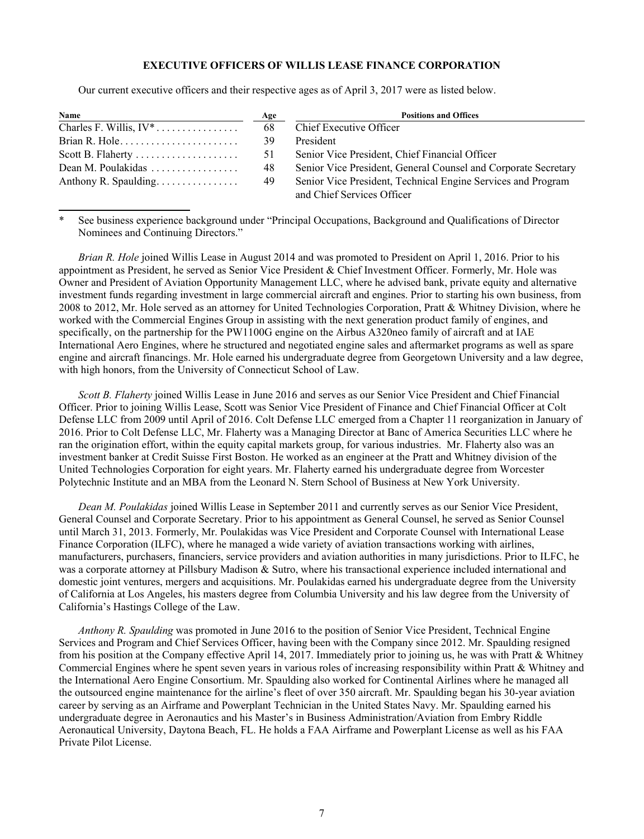# **EXECUTIVE OFFICERS OF WILLIS LEASE FINANCE CORPORATION**

Our current executive officers and their respective ages as of April 3, 2017 were as listed below.

| Name                                   | Age  | <b>Positions and Offices</b>                                   |
|----------------------------------------|------|----------------------------------------------------------------|
| Charles F. Willis, $IV^*$              | 68   | Chief Executive Officer                                        |
|                                        | -39. | President                                                      |
| Scott B. Flaherty                      | 51   | Senior Vice President, Chief Financial Officer                 |
| Dean M. Poulakidas $\ldots$ , $\ldots$ | 48   | Senior Vice President, General Counsel and Corporate Secretary |
| Anthony R. Spaulding.                  | 49   | Senior Vice President, Technical Engine Services and Program   |
|                                        |      | and Chief Services Officer                                     |

See business experience background under "Principal Occupations, Background and Qualifications of Director Nominees and Continuing Directors."

*Brian R. Hole* joined Willis Lease in August 2014 and was promoted to President on April 1, 2016. Prior to his appointment as President, he served as Senior Vice President & Chief Investment Officer. Formerly, Mr. Hole was Owner and President of Aviation Opportunity Management LLC, where he advised bank, private equity and alternative investment funds regarding investment in large commercial aircraft and engines. Prior to starting his own business, from 2008 to 2012, Mr. Hole served as an attorney for United Technologies Corporation, Pratt & Whitney Division, where he worked with the Commercial Engines Group in assisting with the next generation product family of engines, and specifically, on the partnership for the PW1100G engine on the Airbus A320neo family of aircraft and at IAE International Aero Engines, where he structured and negotiated engine sales and aftermarket programs as well as spare engine and aircraft financings. Mr. Hole earned his undergraduate degree from Georgetown University and a law degree, with high honors, from the University of Connecticut School of Law.

*Scott B. Flaherty* joined Willis Lease in June 2016 and serves as our Senior Vice President and Chief Financial Officer. Prior to joining Willis Lease, Scott was Senior Vice President of Finance and Chief Financial Officer at Colt Defense LLC from 2009 until April of 2016. Colt Defense LLC emerged from a Chapter 11 reorganization in January of 2016. Prior to Colt Defense LLC, Mr. Flaherty was a Managing Director at Banc of America Securities LLC where he ran the origination effort, within the equity capital markets group, for various industries. Mr. Flaherty also was an investment banker at Credit Suisse First Boston. He worked as an engineer at the Pratt and Whitney division of the United Technologies Corporation for eight years. Mr. Flaherty earned his undergraduate degree from Worcester Polytechnic Institute and an MBA from the Leonard N. Stern School of Business at New York University.

*Dean M. Poulakidas* joined Willis Lease in September 2011 and currently serves as our Senior Vice President, General Counsel and Corporate Secretary. Prior to his appointment as General Counsel, he served as Senior Counsel until March 31, 2013. Formerly, Mr. Poulakidas was Vice President and Corporate Counsel with International Lease Finance Corporation (ILFC), where he managed a wide variety of aviation transactions working with airlines, manufacturers, purchasers, financiers, service providers and aviation authorities in many jurisdictions. Prior to ILFC, he was a corporate attorney at Pillsbury Madison & Sutro, where his transactional experience included international and domestic joint ventures, mergers and acquisitions. Mr. Poulakidas earned his undergraduate degree from the University of California at Los Angeles, his masters degree from Columbia University and his law degree from the University of California's Hastings College of the Law.

*Anthony R. Spaulding* was promoted in June 2016 to the position of Senior Vice President, Technical Engine Services and Program and Chief Services Officer, having been with the Company since 2012. Mr. Spaulding resigned from his position at the Company effective April 14, 2017. Immediately prior to joining us, he was with Pratt & Whitney Commercial Engines where he spent seven years in various roles of increasing responsibility within Pratt & Whitney and the International Aero Engine Consortium. Mr. Spaulding also worked for Continental Airlines where he managed all the outsourced engine maintenance for the airline's fleet of over 350 aircraft. Mr. Spaulding began his 30-year aviation career by serving as an Airframe and Powerplant Technician in the United States Navy. Mr. Spaulding earned his undergraduate degree in Aeronautics and his Master's in Business Administration/Aviation from Embry Riddle Aeronautical University, Daytona Beach, FL. He holds a FAA Airframe and Powerplant License as well as his FAA Private Pilot License.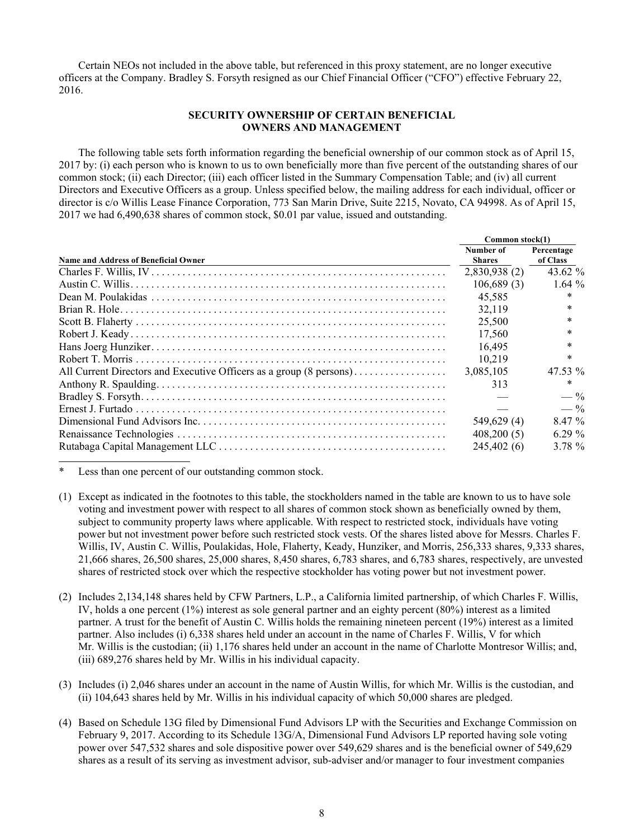Certain NEOs not included in the above table, but referenced in this proxy statement, are no longer executive officers at the Company. Bradley S. Forsyth resigned as our Chief Financial Officer ("CFO") effective February 22, 2016.

# **SECURITY OWNERSHIP OF CERTAIN BENEFICIAL OWNERS AND MANAGEMENT**

The following table sets forth information regarding the beneficial ownership of our common stock as of April 15, 2017 by: (i) each person who is known to us to own beneficially more than five percent of the outstanding shares of our common stock; (ii) each Director; (iii) each officer listed in the Summary Compensation Table; and (iv) all current Directors and Executive Officers as a group. Unless specified below, the mailing address for each individual, officer or director is c/o Willis Lease Finance Corporation, 773 San Marin Drive, Suite 2215, Novato, CA 94998. As of April 15, 2017 we had 6,490,638 shares of common stock, \$0.01 par value, issued and outstanding.

|                                                                     | Common stock(1)            |                        |  |
|---------------------------------------------------------------------|----------------------------|------------------------|--|
| <b>Name and Address of Beneficial Owner</b>                         | Number of<br><b>Shares</b> | Percentage<br>of Class |  |
|                                                                     | 2,830,938 (2)              | 43.62 $\%$             |  |
|                                                                     | 106,689(3)                 | 1.64%                  |  |
|                                                                     | 45.585                     | $\ast$                 |  |
|                                                                     | 32,119                     | $\ast$                 |  |
|                                                                     | 25,500                     | $\ast$                 |  |
|                                                                     | 17,560                     | $\ast$                 |  |
|                                                                     | 16.495                     | $\ast$                 |  |
|                                                                     | 10.219                     | $\ast$                 |  |
| All Current Directors and Executive Officers as a group (8 persons) | 3,085,105                  | $47.53\%$              |  |
|                                                                     | 313                        | $\ast$                 |  |
|                                                                     |                            | $- \frac{9}{6}$        |  |
|                                                                     |                            | $- \frac{9}{6}$        |  |
|                                                                     | 549,629 (4)                | 8.47 %                 |  |
|                                                                     | 408,200(5)                 | 6.29 $%$               |  |
|                                                                     | 245,402 (6)                | 3.78 %                 |  |

Less than one percent of our outstanding common stock.

- (1) Except as indicated in the footnotes to this table, the stockholders named in the table are known to us to have sole voting and investment power with respect to all shares of common stock shown as beneficially owned by them, subject to community property laws where applicable. With respect to restricted stock, individuals have voting power but not investment power before such restricted stock vests. Of the shares listed above for Messrs. Charles F. Willis, IV, Austin C. Willis, Poulakidas, Hole, Flaherty, Keady, Hunziker, and Morris, 256,333 shares, 9,333 shares, 21,666 shares, 26,500 shares, 25,000 shares, 8,450 shares, 6,783 shares, and 6,783 shares, respectively, are unvested shares of restricted stock over which the respective stockholder has voting power but not investment power.
- (2) Includes 2,134,148 shares held by CFW Partners, L.P., a California limited partnership, of which Charles F. Willis, IV, holds a one percent (1%) interest as sole general partner and an eighty percent (80%) interest as a limited partner. A trust for the benefit of Austin C. Willis holds the remaining nineteen percent (19%) interest as a limited partner. Also includes (i) 6,338 shares held under an account in the name of Charles F. Willis, V for which Mr. Willis is the custodian; (ii) 1,176 shares held under an account in the name of Charlotte Montresor Willis; and, (iii) 689,276 shares held by Mr. Willis in his individual capacity.
- (3) Includes (i) 2,046 shares under an account in the name of Austin Willis, for which Mr. Willis is the custodian, and (ii) 104,643 shares held by Mr. Willis in his individual capacity of which 50,000 shares are pledged.
- (4) Based on Schedule 13G filed by Dimensional Fund Advisors LP with the Securities and Exchange Commission on February 9, 2017. According to its Schedule 13G/A, Dimensional Fund Advisors LP reported having sole voting power over 547,532 shares and sole dispositive power over 549,629 shares and is the beneficial owner of 549,629 shares as a result of its serving as investment advisor, sub-adviser and/or manager to four investment companies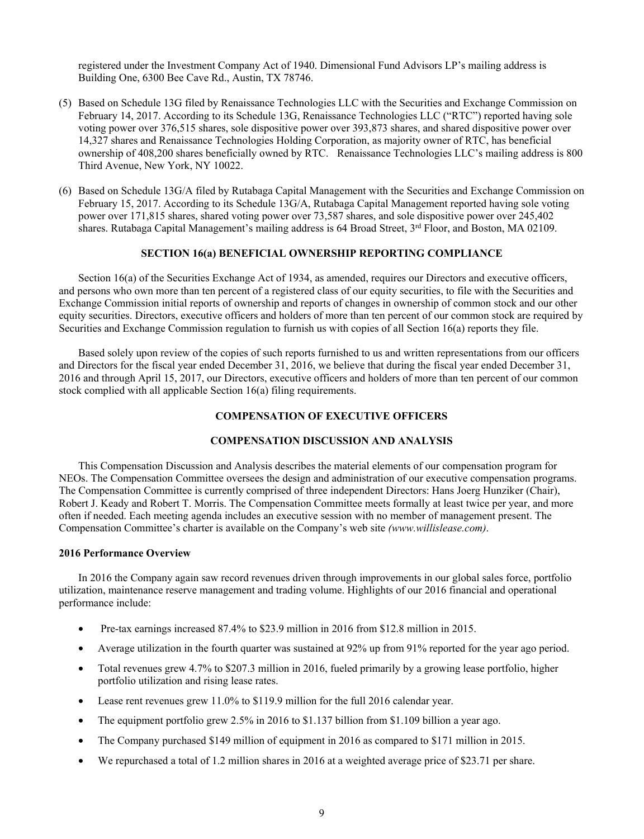registered under the Investment Company Act of 1940. Dimensional Fund Advisors LP's mailing address is Building One, 6300 Bee Cave Rd., Austin, TX 78746.

- (5) Based on Schedule 13G filed by Renaissance Technologies LLC with the Securities and Exchange Commission on February 14, 2017. According to its Schedule 13G, Renaissance Technologies LLC ("RTC") reported having sole voting power over 376,515 shares, sole dispositive power over 393,873 shares, and shared dispositive power over 14,327 shares and Renaissance Technologies Holding Corporation, as majority owner of RTC, has beneficial ownership of 408,200 shares beneficially owned by RTC. Renaissance Technologies LLC's mailing address is 800 Third Avenue, New York, NY 10022.
- (6) Based on Schedule 13G/A filed by Rutabaga Capital Management with the Securities and Exchange Commission on February 15, 2017. According to its Schedule 13G/A, Rutabaga Capital Management reported having sole voting power over 171,815 shares, shared voting power over 73,587 shares, and sole dispositive power over 245,402 shares. Rutabaga Capital Management's mailing address is 64 Broad Street, 3<sup>rd</sup> Floor, and Boston, MA 02109.

### **SECTION 16(a) BENEFICIAL OWNERSHIP REPORTING COMPLIANCE**

Section 16(a) of the Securities Exchange Act of 1934, as amended, requires our Directors and executive officers, and persons who own more than ten percent of a registered class of our equity securities, to file with the Securities and Exchange Commission initial reports of ownership and reports of changes in ownership of common stock and our other equity securities. Directors, executive officers and holders of more than ten percent of our common stock are required by Securities and Exchange Commission regulation to furnish us with copies of all Section 16(a) reports they file.

Based solely upon review of the copies of such reports furnished to us and written representations from our officers and Directors for the fiscal year ended December 31, 2016, we believe that during the fiscal year ended December 31, 2016 and through April 15, 2017, our Directors, executive officers and holders of more than ten percent of our common stock complied with all applicable Section 16(a) filing requirements.

# **COMPENSATION OF EXECUTIVE OFFICERS**

# **COMPENSATION DISCUSSION AND ANALYSIS**

This Compensation Discussion and Analysis describes the material elements of our compensation program for NEOs. The Compensation Committee oversees the design and administration of our executive compensation programs. The Compensation Committee is currently comprised of three independent Directors: Hans Joerg Hunziker (Chair), Robert J. Keady and Robert T. Morris. The Compensation Committee meets formally at least twice per year, and more often if needed. Each meeting agenda includes an executive session with no member of management present. The Compensation Committee's charter is available on the Company's web site *(www.willislease.com)*.

#### **2016 Performance Overview**

In 2016 the Company again saw record revenues driven through improvements in our global sales force, portfolio utilization, maintenance reserve management and trading volume. Highlights of our 2016 financial and operational performance include:

- Pre-tax earnings increased 87.4% to \$23.9 million in 2016 from \$12.8 million in 2015.
- Average utilization in the fourth quarter was sustained at 92% up from 91% reported for the year ago period.
- Total revenues grew 4.7% to \$207.3 million in 2016, fueled primarily by a growing lease portfolio, higher portfolio utilization and rising lease rates.
- Lease rent revenues grew 11.0% to \$119.9 million for the full 2016 calendar year.
- The equipment portfolio grew 2.5% in 2016 to \$1.137 billion from \$1.109 billion a year ago.
- The Company purchased \$149 million of equipment in 2016 as compared to \$171 million in 2015.
- We repurchased a total of 1.2 million shares in 2016 at a weighted average price of \$23.71 per share.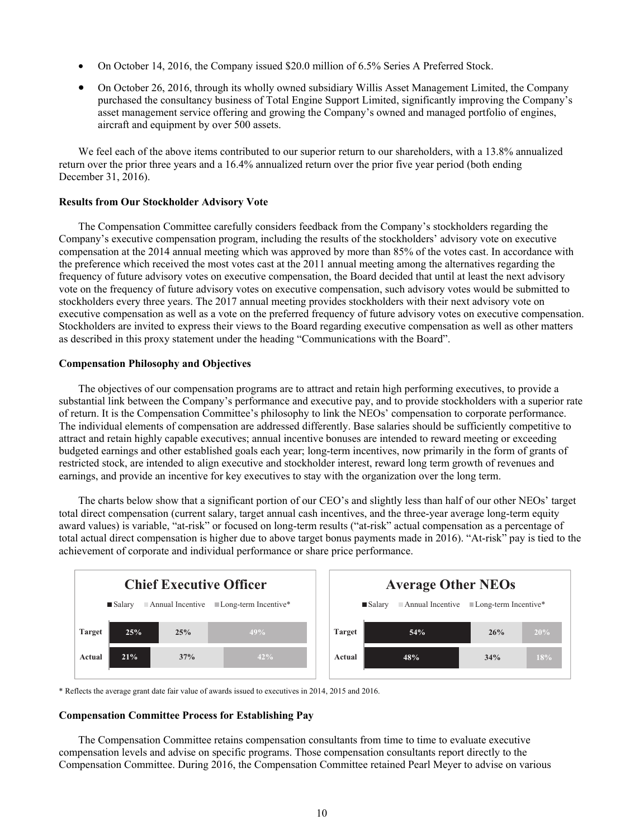- On October 14, 2016, the Company issued \$20.0 million of 6.5% Series A Preferred Stock.
- On October 26, 2016, through its wholly owned subsidiary Willis Asset Management Limited, the Company purchased the consultancy business of Total Engine Support Limited, significantly improving the Company's asset management service offering and growing the Company's owned and managed portfolio of engines, aircraft and equipment by over 500 assets.

We feel each of the above items contributed to our superior return to our shareholders, with a 13.8% annualized return over the prior three years and a 16.4% annualized return over the prior five year period (both ending December 31, 2016).

## **Results from Our Stockholder Advisory Vote**

The Compensation Committee carefully considers feedback from the Company's stockholders regarding the Company's executive compensation program, including the results of the stockholders' advisory vote on executive compensation at the 2014 annual meeting which was approved by more than 85% of the votes cast. In accordance with the preference which received the most votes cast at the 2011 annual meeting among the alternatives regarding the frequency of future advisory votes on executive compensation, the Board decided that until at least the next advisory vote on the frequency of future advisory votes on executive compensation, such advisory votes would be submitted to stockholders every three years. The 2017 annual meeting provides stockholders with their next advisory vote on executive compensation as well as a vote on the preferred frequency of future advisory votes on executive compensation. Stockholders are invited to express their views to the Board regarding executive compensation as well as other matters as described in this proxy statement under the heading "Communications with the Board".

#### **Compensation Philosophy and Objectives**

The objectives of our compensation programs are to attract and retain high performing executives, to provide a substantial link between the Company's performance and executive pay, and to provide stockholders with a superior rate of return. It is the Compensation Committee's philosophy to link the NEOs' compensation to corporate performance. The individual elements of compensation are addressed differently. Base salaries should be sufficiently competitive to attract and retain highly capable executives; annual incentive bonuses are intended to reward meeting or exceeding budgeted earnings and other established goals each year; long-term incentives, now primarily in the form of grants of restricted stock, are intended to align executive and stockholder interest, reward long term growth of revenues and earnings, and provide an incentive for key executives to stay with the organization over the long term.

The charts below show that a significant portion of our CEO's and slightly less than half of our other NEOs' target total direct compensation (current salary, target annual cash incentives, and the three-year average long-term equity award values) is variable, "at-risk" or focused on long-term results ("at-risk" actual compensation as a percentage of total actual direct compensation is higher due to above target bonus payments made in 2016). "At-risk" pay is tied to the achievement of corporate and individual performance or share price performance.



\* Reflects the average grant date fair value of awards issued to executives in 2014, 2015 and 2016.

#### **Compensation Committee Process for Establishing Pay**

The Compensation Committee retains compensation consultants from time to time to evaluate executive compensation levels and advise on specific programs. Those compensation consultants report directly to the Compensation Committee. During 2016, the Compensation Committee retained Pearl Meyer to advise on various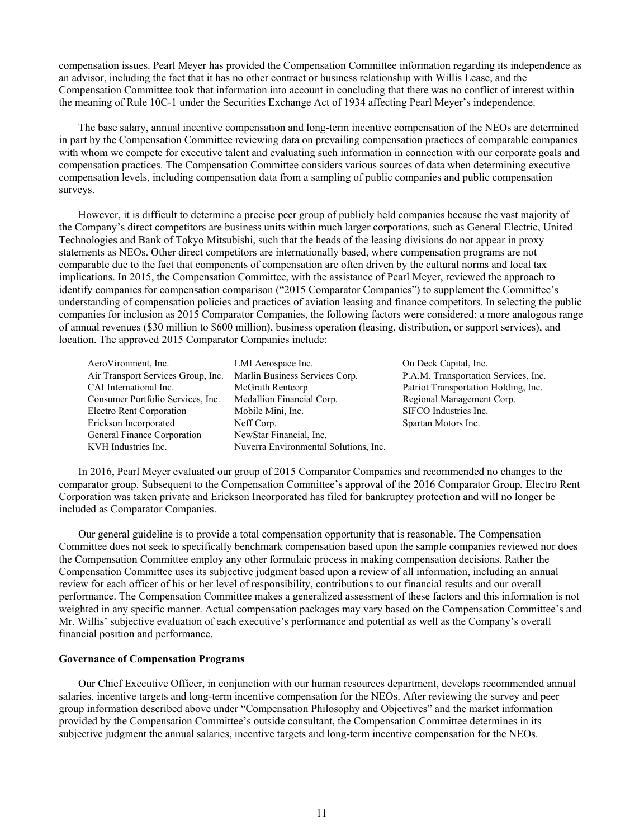compensation issues. Pearl Meyer has provided the Compensation Committee information regarding its independence as an advisor, including the fact that it has no other contract or business relationship with Willis Lease, and the Compensation Committee took that information into account in concluding that there was no conflict of interest within the meaning of Rule 10C-1 under the Securities Exchange Act of 1934 affecting Pearl Meyer's independence.

The base salary, annual incentive compensation and long-term incentive compensation of the NEOs are determined in part by the Compensation Committee reviewing data on prevailing compensation practices of comparable companies with whom we compete for executive talent and evaluating such information in connection with our corporate goals and compensation practices. The Compensation Committee considers various sources of data when determining executive compensation levels, including compensation data from a sampling of public companies and public compensation surveys.

However, it is difficult to determine a precise peer group of publicly held companies because the vast majority of the Company's direct competitors are business units within much larger corporations, such as General Electric, United Technologies and Bank of Tokyo Mitsubishi, such that the heads of the leasing divisions do not appear in proxy statements as NEOs. Other direct competitors are internationally based, where compensation programs are not comparable due to the fact that components of compensation are often driven by the cultural norms and local tax implications. In 2015, the Compensation Committee, with the assistance of Pearl Meyer, reviewed the approach to identify companies for compensation comparison ("2015 Comparator Companies") to supplement the Committee's understanding of compensation policies and practices of aviation leasing and finance competitors. In selecting the public companies for inclusion as 2015 Comparator Companies, the following factors were considered: a more analogous range of annual revenues (\$30 million to \$600 million), business operation (leasing, distribution, or support services), and location. The approved 2015 Comparator Companies include:

| LMI Aerospace Inc.                    |
|---------------------------------------|
| Marlin Business Services Corp.        |
| McGrath Rentcorp                      |
| Medallion Financial Corp.             |
| Mobile Mini, Inc.                     |
| Neff Corp.                            |
| NewStar Financial, Inc.               |
| Nuverra Environmental Solutions, Inc. |
|                                       |

On Deck Capital, Inc. P.A.M. Transportation Services, Inc. Patriot Transportation Holding, Inc. Regional Management Corp. SIFCO Industries Inc. Spartan Motors Inc.

In 2016, Pearl Meyer evaluated our group of 2015 Comparator Companies and recommended no changes to the comparator group. Subsequent to the Compensation Committee's approval of the 2016 Comparator Group, Electro Rent Corporation was taken private and Erickson Incorporated has filed for bankruptcy protection and will no longer be included as Comparator Companies.

Our general guideline is to provide a total compensation opportunity that is reasonable. The Compensation Committee does not seek to specifically benchmark compensation based upon the sample companies reviewed nor does the Compensation Committee employ any other formulaic process in making compensation decisions. Rather the Compensation Committee uses its subjective judgment based upon a review of all information, including an annual review for each officer of his or her level of responsibility, contributions to our financial results and our overall performance. The Compensation Committee makes a generalized assessment of these factors and this information is not weighted in any specific manner. Actual compensation packages may vary based on the Compensation Committee's and Mr. Willis' subjective evaluation of each executive's performance and potential as well as the Company's overall financial position and performance.

# **Governance of Compensation Programs**

Our Chief Executive Officer, in conjunction with our human resources department, develops recommended annual salaries, incentive targets and long-term incentive compensation for the NEOs. After reviewing the survey and peer group information described above under "Compensation Philosophy and Objectives" and the market information provided by the Compensation Committee's outside consultant, the Compensation Committee determines in its subjective judgment the annual salaries, incentive targets and long-term incentive compensation for the NEOs.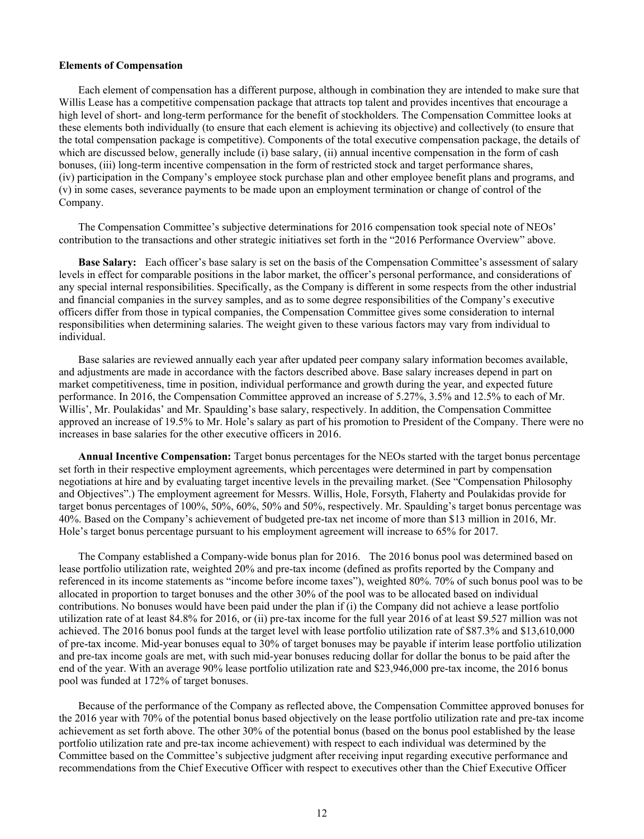# **Elements of Compensation**

Each element of compensation has a different purpose, although in combination they are intended to make sure that Willis Lease has a competitive compensation package that attracts top talent and provides incentives that encourage a high level of short- and long-term performance for the benefit of stockholders. The Compensation Committee looks at these elements both individually (to ensure that each element is achieving its objective) and collectively (to ensure that the total compensation package is competitive). Components of the total executive compensation package, the details of which are discussed below, generally include (i) base salary, (ii) annual incentive compensation in the form of cash bonuses, (iii) long-term incentive compensation in the form of restricted stock and target performance shares, (iv) participation in the Company's employee stock purchase plan and other employee benefit plans and programs, and (v) in some cases, severance payments to be made upon an employment termination or change of control of the Company.

The Compensation Committee's subjective determinations for 2016 compensation took special note of NEOs' contribution to the transactions and other strategic initiatives set forth in the "2016 Performance Overview" above.

**Base Salary:** Each officer's base salary is set on the basis of the Compensation Committee's assessment of salary levels in effect for comparable positions in the labor market, the officer's personal performance, and considerations of any special internal responsibilities. Specifically, as the Company is different in some respects from the other industrial and financial companies in the survey samples, and as to some degree responsibilities of the Company's executive officers differ from those in typical companies, the Compensation Committee gives some consideration to internal responsibilities when determining salaries. The weight given to these various factors may vary from individual to individual.

Base salaries are reviewed annually each year after updated peer company salary information becomes available, and adjustments are made in accordance with the factors described above. Base salary increases depend in part on market competitiveness, time in position, individual performance and growth during the year, and expected future performance. In 2016, the Compensation Committee approved an increase of 5.27%, 3.5% and 12.5% to each of Mr. Willis', Mr. Poulakidas' and Mr. Spaulding's base salary, respectively. In addition, the Compensation Committee approved an increase of 19.5% to Mr. Hole's salary as part of his promotion to President of the Company. There were no increases in base salaries for the other executive officers in 2016.

**Annual Incentive Compensation:** Target bonus percentages for the NEOs started with the target bonus percentage set forth in their respective employment agreements, which percentages were determined in part by compensation negotiations at hire and by evaluating target incentive levels in the prevailing market. (See "Compensation Philosophy and Objectives".) The employment agreement for Messrs. Willis, Hole, Forsyth, Flaherty and Poulakidas provide for target bonus percentages of 100%, 50%, 60%, 50% and 50%, respectively. Mr. Spaulding's target bonus percentage was 40%. Based on the Company's achievement of budgeted pre-tax net income of more than \$13 million in 2016, Mr. Hole's target bonus percentage pursuant to his employment agreement will increase to 65% for 2017.

The Company established a Company-wide bonus plan for 2016. The 2016 bonus pool was determined based on lease portfolio utilization rate, weighted 20% and pre-tax income (defined as profits reported by the Company and referenced in its income statements as "income before income taxes"), weighted 80%. 70% of such bonus pool was to be allocated in proportion to target bonuses and the other 30% of the pool was to be allocated based on individual contributions. No bonuses would have been paid under the plan if (i) the Company did not achieve a lease portfolio utilization rate of at least 84.8% for 2016, or (ii) pre-tax income for the full year 2016 of at least \$9.527 million was not achieved. The 2016 bonus pool funds at the target level with lease portfolio utilization rate of \$87.3% and \$13,610,000 of pre-tax income. Mid-year bonuses equal to 30% of target bonuses may be payable if interim lease portfolio utilization and pre-tax income goals are met, with such mid-year bonuses reducing dollar for dollar the bonus to be paid after the end of the year. With an average 90% lease portfolio utilization rate and \$23,946,000 pre-tax income, the 2016 bonus pool was funded at 172% of target bonuses.

Because of the performance of the Company as reflected above, the Compensation Committee approved bonuses for the 2016 year with 70% of the potential bonus based objectively on the lease portfolio utilization rate and pre-tax income achievement as set forth above. The other 30% of the potential bonus (based on the bonus pool established by the lease portfolio utilization rate and pre-tax income achievement) with respect to each individual was determined by the Committee based on the Committee's subjective judgment after receiving input regarding executive performance and recommendations from the Chief Executive Officer with respect to executives other than the Chief Executive Officer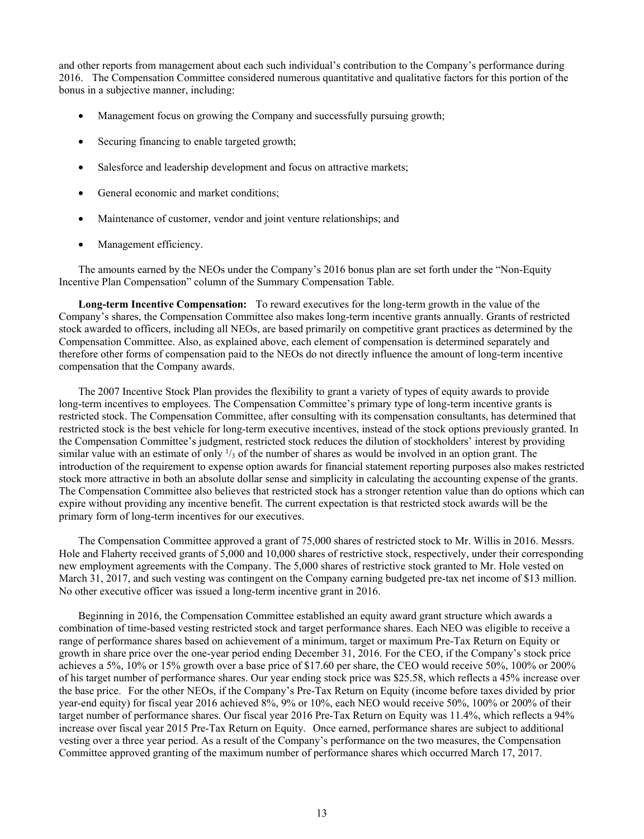and other reports from management about each such individual's contribution to the Company's performance during 2016. The Compensation Committee considered numerous quantitative and qualitative factors for this portion of the bonus in a subjective manner, including:

- Management focus on growing the Company and successfully pursuing growth;
- Securing financing to enable targeted growth;
- Salesforce and leadership development and focus on attractive markets;
- General economic and market conditions:
- Maintenance of customer, vendor and joint venture relationships; and
- Management efficiency.

The amounts earned by the NEOs under the Company's 2016 bonus plan are set forth under the "Non-Equity Incentive Plan Compensation" column of the Summary Compensation Table.

**Long-term Incentive Compensation:** To reward executives for the long-term growth in the value of the Company's shares, the Compensation Committee also makes long-term incentive grants annually. Grants of restricted stock awarded to officers, including all NEOs, are based primarily on competitive grant practices as determined by the Compensation Committee. Also, as explained above, each element of compensation is determined separately and therefore other forms of compensation paid to the NEOs do not directly influence the amount of long-term incentive compensation that the Company awards.

The 2007 Incentive Stock Plan provides the flexibility to grant a variety of types of equity awards to provide long-term incentives to employees. The Compensation Committee's primary type of long-term incentive grants is restricted stock. The Compensation Committee, after consulting with its compensation consultants, has determined that restricted stock is the best vehicle for long-term executive incentives, instead of the stock options previously granted. In the Compensation Committee's judgment, restricted stock reduces the dilution of stockholders' interest by providing similar value with an estimate of only  $\frac{1}{3}$  of the number of shares as would be involved in an option grant. The introduction of the requirement to expense option awards for financial statement reporting purposes also makes restricted stock more attractive in both an absolute dollar sense and simplicity in calculating the accounting expense of the grants. The Compensation Committee also believes that restricted stock has a stronger retention value than do options which can expire without providing any incentive benefit. The current expectation is that restricted stock awards will be the primary form of long-term incentives for our executives.

The Compensation Committee approved a grant of 75,000 shares of restricted stock to Mr. Willis in 2016. Messrs. Hole and Flaherty received grants of 5,000 and 10,000 shares of restrictive stock, respectively, under their corresponding new employment agreements with the Company. The 5,000 shares of restrictive stock granted to Mr. Hole vested on March 31, 2017, and such vesting was contingent on the Company earning budgeted pre-tax net income of \$13 million. No other executive officer was issued a long-term incentive grant in 2016.

Beginning in 2016, the Compensation Committee established an equity award grant structure which awards a combination of time-based vesting restricted stock and target performance shares. Each NEO was eligible to receive a range of performance shares based on achievement of a minimum, target or maximum Pre-Tax Return on Equity or growth in share price over the one-year period ending December 31, 2016. For the CEO, if the Company's stock price achieves a 5%, 10% or 15% growth over a base price of \$17.60 per share, the CEO would receive 50%, 100% or 200% of his target number of performance shares. Our year ending stock price was \$25.58, which reflects a 45% increase over the base price. For the other NEOs, if the Company's Pre-Tax Return on Equity (income before taxes divided by prior year-end equity) for fiscal year 2016 achieved 8%, 9% or 10%, each NEO would receive 50%, 100% or 200% of their target number of performance shares. Our fiscal year 2016 Pre-Tax Return on Equity was 11.4%, which reflects a 94% increase over fiscal year 2015 Pre-Tax Return on Equity. Once earned, performance shares are subject to additional vesting over a three year period. As a result of the Company's performance on the two measures, the Compensation Committee approved granting of the maximum number of performance shares which occurred March 17, 2017.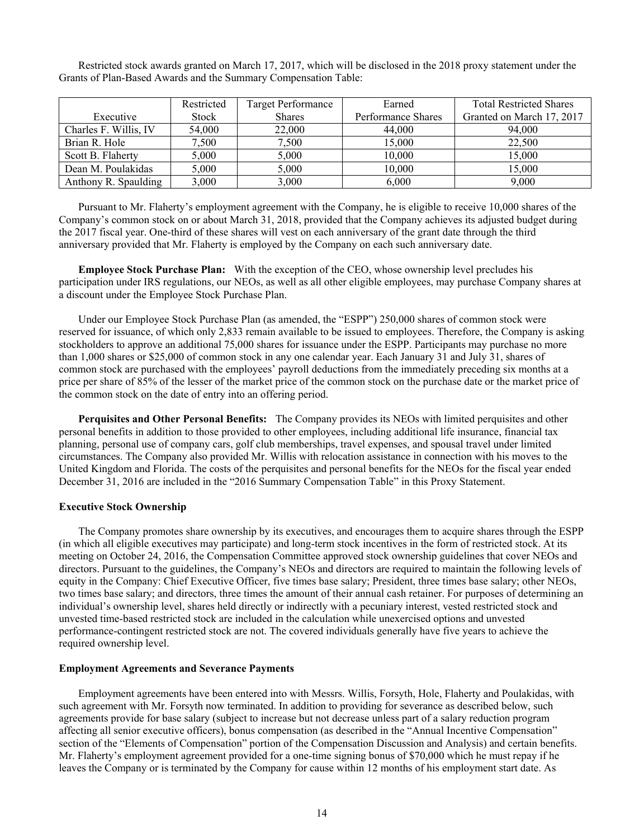Restricted stock awards granted on March 17, 2017, which will be disclosed in the 2018 proxy statement under the Grants of Plan-Based Awards and the Summary Compensation Table:

|                       | Restricted   | <b>Target Performance</b> | Earned             | <b>Total Restricted Shares</b> |
|-----------------------|--------------|---------------------------|--------------------|--------------------------------|
| Executive             | <b>Stock</b> | <b>Shares</b>             | Performance Shares | Granted on March 17, 2017      |
| Charles F. Willis, IV | 54,000       | 22,000                    | 44,000             | 94,000                         |
| Brian R. Hole         | 7,500        | 7,500                     | 15,000             | 22,500                         |
| Scott B. Flaherty     | 5.000        | 5.000                     | 10,000             | 15.000                         |
| Dean M. Poulakidas    | 5,000        | 5,000                     | 10,000             | 15,000                         |
| Anthony R. Spaulding  | 3,000        | 3,000                     | 6.000              | 9.000                          |

Pursuant to Mr. Flaherty's employment agreement with the Company, he is eligible to receive 10,000 shares of the Company's common stock on or about March 31, 2018, provided that the Company achieves its adjusted budget during the 2017 fiscal year. One-third of these shares will vest on each anniversary of the grant date through the third anniversary provided that Mr. Flaherty is employed by the Company on each such anniversary date.

**Employee Stock Purchase Plan:** With the exception of the CEO, whose ownership level precludes his participation under IRS regulations, our NEOs, as well as all other eligible employees, may purchase Company shares at a discount under the Employee Stock Purchase Plan.

Under our Employee Stock Purchase Plan (as amended, the "ESPP") 250,000 shares of common stock were reserved for issuance, of which only 2,833 remain available to be issued to employees. Therefore, the Company is asking stockholders to approve an additional 75,000 shares for issuance under the ESPP. Participants may purchase no more than 1,000 shares or \$25,000 of common stock in any one calendar year. Each January 31 and July 31, shares of common stock are purchased with the employees' payroll deductions from the immediately preceding six months at a price per share of 85% of the lesser of the market price of the common stock on the purchase date or the market price of the common stock on the date of entry into an offering period.

**Perquisites and Other Personal Benefits:** The Company provides its NEOs with limited perquisites and other personal benefits in addition to those provided to other employees, including additional life insurance, financial tax planning, personal use of company cars, golf club memberships, travel expenses, and spousal travel under limited circumstances. The Company also provided Mr. Willis with relocation assistance in connection with his moves to the United Kingdom and Florida. The costs of the perquisites and personal benefits for the NEOs for the fiscal year ended December 31, 2016 are included in the "2016 Summary Compensation Table" in this Proxy Statement.

#### **Executive Stock Ownership**

The Company promotes share ownership by its executives, and encourages them to acquire shares through the ESPP (in which all eligible executives may participate) and long-term stock incentives in the form of restricted stock. At its meeting on October 24, 2016, the Compensation Committee approved stock ownership guidelines that cover NEOs and directors. Pursuant to the guidelines, the Company's NEOs and directors are required to maintain the following levels of equity in the Company: Chief Executive Officer, five times base salary; President, three times base salary; other NEOs, two times base salary; and directors, three times the amount of their annual cash retainer. For purposes of determining an individual's ownership level, shares held directly or indirectly with a pecuniary interest, vested restricted stock and unvested time-based restricted stock are included in the calculation while unexercised options and unvested performance-contingent restricted stock are not. The covered individuals generally have five years to achieve the required ownership level.

#### **Employment Agreements and Severance Payments**

Employment agreements have been entered into with Messrs. Willis, Forsyth, Hole, Flaherty and Poulakidas, with such agreement with Mr. Forsyth now terminated. In addition to providing for severance as described below, such agreements provide for base salary (subject to increase but not decrease unless part of a salary reduction program affecting all senior executive officers), bonus compensation (as described in the "Annual Incentive Compensation" section of the "Elements of Compensation" portion of the Compensation Discussion and Analysis) and certain benefits. Mr. Flaherty's employment agreement provided for a one-time signing bonus of \$70,000 which he must repay if he leaves the Company or is terminated by the Company for cause within 12 months of his employment start date. As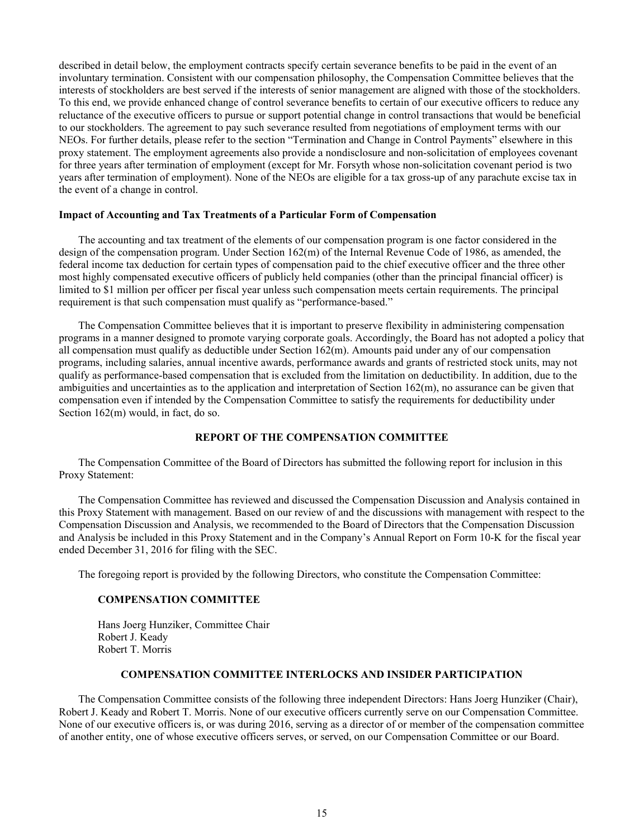described in detail below, the employment contracts specify certain severance benefits to be paid in the event of an involuntary termination. Consistent with our compensation philosophy, the Compensation Committee believes that the interests of stockholders are best served if the interests of senior management are aligned with those of the stockholders. To this end, we provide enhanced change of control severance benefits to certain of our executive officers to reduce any reluctance of the executive officers to pursue or support potential change in control transactions that would be beneficial to our stockholders. The agreement to pay such severance resulted from negotiations of employment terms with our NEOs. For further details, please refer to the section "Termination and Change in Control Payments" elsewhere in this proxy statement. The employment agreements also provide a nondisclosure and non-solicitation of employees covenant for three years after termination of employment (except for Mr. Forsyth whose non-solicitation covenant period is two years after termination of employment). None of the NEOs are eligible for a tax gross-up of any parachute excise tax in the event of a change in control.

#### **Impact of Accounting and Tax Treatments of a Particular Form of Compensation**

The accounting and tax treatment of the elements of our compensation program is one factor considered in the design of the compensation program. Under Section 162(m) of the Internal Revenue Code of 1986, as amended, the federal income tax deduction for certain types of compensation paid to the chief executive officer and the three other most highly compensated executive officers of publicly held companies (other than the principal financial officer) is limited to \$1 million per officer per fiscal year unless such compensation meets certain requirements. The principal requirement is that such compensation must qualify as "performance-based."

The Compensation Committee believes that it is important to preserve flexibility in administering compensation programs in a manner designed to promote varying corporate goals. Accordingly, the Board has not adopted a policy that all compensation must qualify as deductible under Section 162(m). Amounts paid under any of our compensation programs, including salaries, annual incentive awards, performance awards and grants of restricted stock units, may not qualify as performance-based compensation that is excluded from the limitation on deductibility. In addition, due to the ambiguities and uncertainties as to the application and interpretation of Section  $162(m)$ , no assurance can be given that compensation even if intended by the Compensation Committee to satisfy the requirements for deductibility under Section 162(m) would, in fact, do so.

# **REPORT OF THE COMPENSATION COMMITTEE**

The Compensation Committee of the Board of Directors has submitted the following report for inclusion in this Proxy Statement:

The Compensation Committee has reviewed and discussed the Compensation Discussion and Analysis contained in this Proxy Statement with management. Based on our review of and the discussions with management with respect to the Compensation Discussion and Analysis, we recommended to the Board of Directors that the Compensation Discussion and Analysis be included in this Proxy Statement and in the Company's Annual Report on Form 10-K for the fiscal year ended December 31, 2016 for filing with the SEC.

The foregoing report is provided by the following Directors, who constitute the Compensation Committee:

#### **COMPENSATION COMMITTEE**

Hans Joerg Hunziker, Committee Chair Robert J. Keady Robert T. Morris

# **COMPENSATION COMMITTEE INTERLOCKS AND INSIDER PARTICIPATION**

The Compensation Committee consists of the following three independent Directors: Hans Joerg Hunziker (Chair), Robert J. Keady and Robert T. Morris. None of our executive officers currently serve on our Compensation Committee. None of our executive officers is, or was during 2016, serving as a director of or member of the compensation committee of another entity, one of whose executive officers serves, or served, on our Compensation Committee or our Board.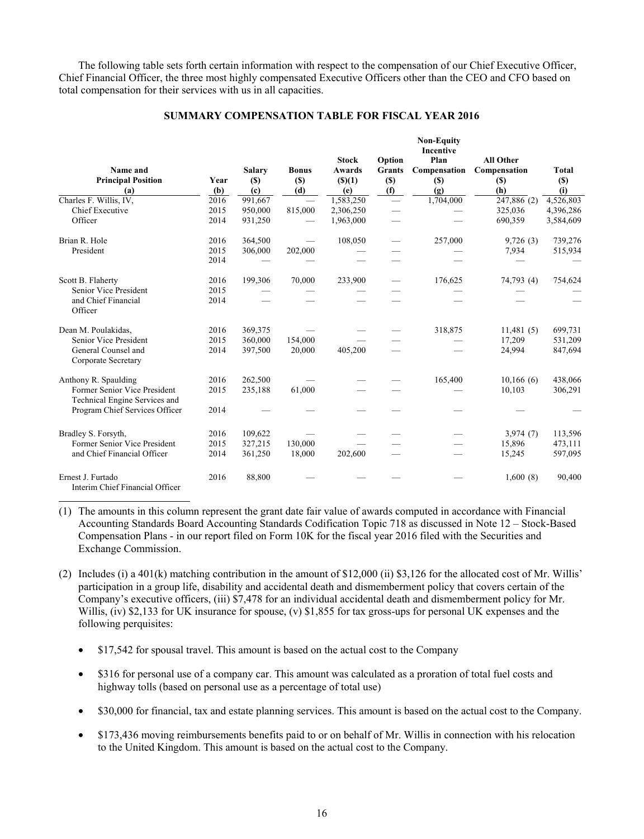The following table sets forth certain information with respect to the compensation of our Chief Executive Officer, Chief Financial Officer, the three most highly compensated Executive Officers other than the CEO and CFO based on total compensation for their services with us in all capacities.

# **SUMMARY COMPENSATION TABLE FOR FISCAL YEAR 2016**

|                                                               |      |               |              |              |        | <b>Non-Equity</b><br><b>Incentive</b> |                  |              |
|---------------------------------------------------------------|------|---------------|--------------|--------------|--------|---------------------------------------|------------------|--------------|
|                                                               |      |               |              | <b>Stock</b> | Option | Plan                                  | <b>All Other</b> |              |
| Name and                                                      |      | <b>Salary</b> | <b>Bonus</b> | Awards       | Grants | Compensation                          | Compensation     | <b>Total</b> |
| <b>Principal Position</b>                                     | Year | (S)           | (S)          | () (1)       | $(\$)$ | <b>(\$)</b>                           | <b>(S)</b>       | $(\$)$       |
| (a)                                                           | (b)  | (c)           | (d)          | (e)          | (f)    | (g)                                   | (h)              | (i)          |
| Charles F. Willis, IV,                                        | 2016 | 991,667       |              | 1,583,250    |        | 1,704,000                             | 247,886 (2)      | 4,526,803    |
| Chief Executive                                               | 2015 | 950,000       | 815,000      | 2,306,250    |        |                                       | 325,036          | 4,396,286    |
| Officer                                                       | 2014 | 931,250       |              | 1,963,000    |        |                                       | 690,359          | 3,584,609    |
| Brian R. Hole                                                 | 2016 | 364,500       |              | 108,050      |        | 257,000                               | 9,726(3)         | 739,276      |
| President                                                     | 2015 | 306,000       | 202,000      |              |        |                                       | 7,934            | 515,934      |
|                                                               | 2014 |               |              |              |        |                                       |                  |              |
| Scott B. Flaherty                                             | 2016 | 199,306       | 70,000       | 233,900      |        | 176,625                               | 74,793 (4)       | 754,624      |
| Senior Vice President                                         | 2015 |               |              |              |        |                                       |                  |              |
| and Chief Financial<br>Officer                                | 2014 |               |              |              |        |                                       |                  |              |
| Dean M. Poulakidas,                                           | 2016 | 369,375       |              |              |        | 318,875                               | 11,481(5)        | 699,731      |
| Senior Vice President                                         | 2015 | 360,000       | 154,000      |              |        |                                       | 17,209           | 531,209      |
| General Counsel and<br>Corporate Secretary                    | 2014 | 397,500       | 20,000       | 405,200      |        |                                       | 24,994           | 847,694      |
| Anthony R. Spaulding                                          | 2016 | 262,500       |              |              |        | 165,400                               | 10,166(6)        | 438,066      |
| Former Senior Vice President<br>Technical Engine Services and | 2015 | 235,188       | 61,000       |              |        |                                       | 10,103           | 306,291      |
| Program Chief Services Officer                                | 2014 |               |              |              |        |                                       |                  |              |
| Bradley S. Forsyth,                                           | 2016 | 109,622       |              |              |        |                                       | 3,974(7)         | 113,596      |
| Former Senior Vice President                                  | 2015 | 327,215       | 130,000      |              |        |                                       | 15,896           | 473,111      |
| and Chief Financial Officer                                   | 2014 | 361,250       | 18,000       | 202,600      |        |                                       | 15,245           | 597,095      |
| Ernest J. Furtado<br>Interim Chief Financial Officer          | 2016 | 88,800        |              |              |        |                                       | 1,600(8)         | 90,400       |

(1) The amounts in this column represent the grant date fair value of awards computed in accordance with Financial Accounting Standards Board Accounting Standards Codification Topic 718 as discussed in Note 12 – Stock-Based Compensation Plans - in our report filed on Form 10K for the fiscal year 2016 filed with the Securities and Exchange Commission.

- (2) Includes (i) a 401(k) matching contribution in the amount of \$12,000 (ii) \$3,126 for the allocated cost of Mr. Willis' participation in a group life, disability and accidental death and dismemberment policy that covers certain of the Company's executive officers, (iii) \$7,478 for an individual accidental death and dismemberment policy for Mr. Willis, (iv) \$2,133 for UK insurance for spouse, (v) \$1,855 for tax gross-ups for personal UK expenses and the following perquisites:
	- \$17,542 for spousal travel. This amount is based on the actual cost to the Company
	- \$316 for personal use of a company car. This amount was calculated as a proration of total fuel costs and highway tolls (based on personal use as a percentage of total use)
	- \$30,000 for financial, tax and estate planning services. This amount is based on the actual cost to the Company.
	- \$173,436 moving reimbursements benefits paid to or on behalf of Mr. Willis in connection with his relocation to the United Kingdom. This amount is based on the actual cost to the Company.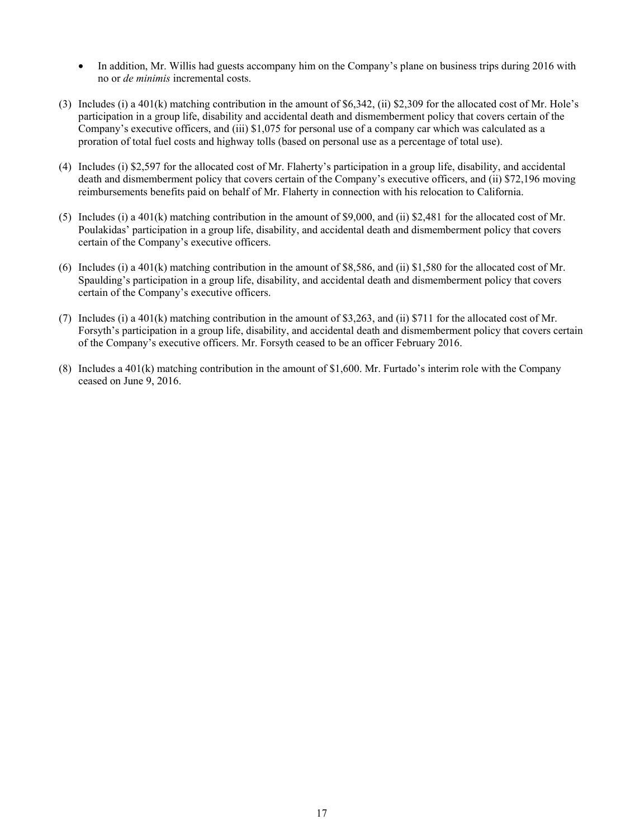- In addition, Mr. Willis had guests accompany him on the Company's plane on business trips during 2016 with no or *de minimis* incremental costs.
- (3) Includes (i) a 401(k) matching contribution in the amount of \$6,342, (ii) \$2,309 for the allocated cost of Mr. Hole's participation in a group life, disability and accidental death and dismemberment policy that covers certain of the Company's executive officers, and (iii) \$1,075 for personal use of a company car which was calculated as a proration of total fuel costs and highway tolls (based on personal use as a percentage of total use).
- (4) Includes (i) \$2,597 for the allocated cost of Mr. Flaherty's participation in a group life, disability, and accidental death and dismemberment policy that covers certain of the Company's executive officers, and (ii) \$72,196 moving reimbursements benefits paid on behalf of Mr. Flaherty in connection with his relocation to California.
- (5) Includes (i) a 401(k) matching contribution in the amount of \$9,000, and (ii) \$2,481 for the allocated cost of Mr. Poulakidas' participation in a group life, disability, and accidental death and dismemberment policy that covers certain of the Company's executive officers.
- (6) Includes (i) a 401(k) matching contribution in the amount of \$8,586, and (ii) \$1,580 for the allocated cost of Mr. Spaulding's participation in a group life, disability, and accidental death and dismemberment policy that covers certain of the Company's executive officers.
- (7) Includes (i) a 401(k) matching contribution in the amount of \$3,263, and (ii) \$711 for the allocated cost of Mr. Forsyth's participation in a group life, disability, and accidental death and dismemberment policy that covers certain of the Company's executive officers. Mr. Forsyth ceased to be an officer February 2016.
- (8) Includes a 401(k) matching contribution in the amount of \$1,600. Mr. Furtado's interim role with the Company ceased on June 9, 2016.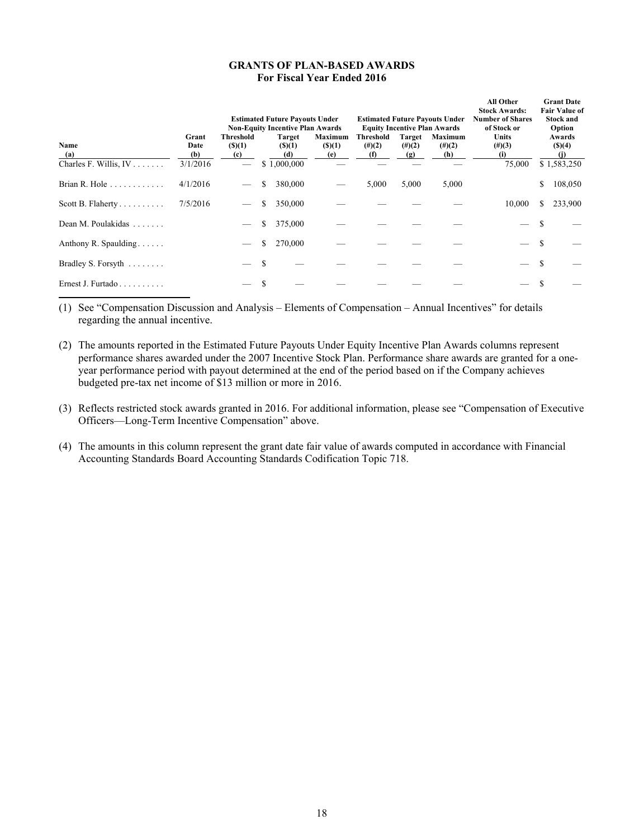# **GRANTS OF PLAN-BASED AWARDS For Fiscal Year Ended 2016**

|                                      |                                  | <b>Estimated Future Pavouts Under</b><br><b>Non-Equity Incentive Plan Awards</b> |    |                                               |                               |                               |                                   | <b>Estimated Future Payouts Under</b><br><b>Equity Incentive Plan Awards</b> | All Other<br><b>Stock Awards:</b><br><b>Number of Shares</b><br>of Stock or |    | <b>Grant Date</b><br><b>Fair Value of</b><br><b>Stock and</b><br>Option |
|--------------------------------------|----------------------------------|----------------------------------------------------------------------------------|----|-----------------------------------------------|-------------------------------|-------------------------------|-----------------------------------|------------------------------------------------------------------------------|-----------------------------------------------------------------------------|----|-------------------------------------------------------------------------|
| Name<br>(a)<br>Charles F. Willis, IV | Grant<br>Date<br>(b)<br>3/1/2016 | <b>Threshold</b><br>(S)(1)<br>(c)                                                |    | <b>Target</b><br>(S)(1)<br>(d)<br>\$1,000,000 | Maximum<br>$($ (\$)(1)<br>(e) | Threshold<br>$(\#)(2)$<br>(f) | <b>Target</b><br>$(\#)(2)$<br>(g) | Maximum<br>$(\#)(2)$<br>(h)                                                  | <b>Units</b><br>$(\#)(3)$<br>(i)<br>75,000                                  |    | Awards<br>(S)(4)<br>(j)<br>\$1,583,250                                  |
|                                      | 4/1/2016                         |                                                                                  | \$ | 380,000                                       |                               | 5,000                         | 5,000                             | 5,000                                                                        |                                                                             | \$ | 108,050                                                                 |
|                                      | 7/5/2016                         |                                                                                  | \$ | 350,000                                       |                               |                               |                                   |                                                                              | 10,000                                                                      |    | 233,900                                                                 |
| Dean M. Poulakidas                   |                                  |                                                                                  | \$ | 375,000                                       |                               |                               |                                   |                                                                              |                                                                             |    |                                                                         |
| Anthony R. Spaulding                 |                                  |                                                                                  | \$ | 270,000                                       |                               |                               |                                   |                                                                              |                                                                             |    |                                                                         |
| Bradley S. Forsyth                   |                                  |                                                                                  |    |                                               |                               |                               |                                   |                                                                              |                                                                             |    |                                                                         |
| Ernest J. Furtado                    |                                  |                                                                                  |    |                                               |                               |                               |                                   |                                                                              |                                                                             |    |                                                                         |

(1) See "Compensation Discussion and Analysis – Elements of Compensation – Annual Incentives" for details regarding the annual incentive.

- (2) The amounts reported in the Estimated Future Payouts Under Equity Incentive Plan Awards columns represent performance shares awarded under the 2007 Incentive Stock Plan. Performance share awards are granted for a oneyear performance period with payout determined at the end of the period based on if the Company achieves budgeted pre-tax net income of \$13 million or more in 2016.
- (3) Reflects restricted stock awards granted in 2016. For additional information, please see "Compensation of Executive Officers—Long-Term Incentive Compensation" above.
- (4) The amounts in this column represent the grant date fair value of awards computed in accordance with Financial Accounting Standards Board Accounting Standards Codification Topic 718.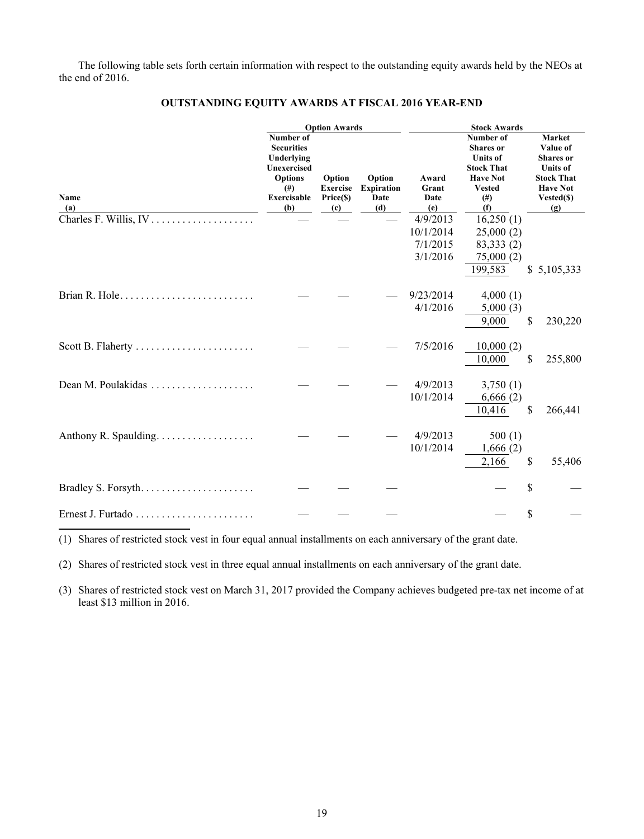The following table sets forth certain information with respect to the outstanding equity awards held by the NEOs at the end of 2016.

|                       |                                                                                                                        | <b>Option Awards</b>                          |                                            | <b>Stock Awards</b>                           |                                                                                                                              |                                                                                                                        |  |  |
|-----------------------|------------------------------------------------------------------------------------------------------------------------|-----------------------------------------------|--------------------------------------------|-----------------------------------------------|------------------------------------------------------------------------------------------------------------------------------|------------------------------------------------------------------------------------------------------------------------|--|--|
| <b>Name</b><br>(a)    | Number of<br><b>Securities</b><br>Underlying<br>Unexercised<br><b>Options</b><br>$^{(#)}$<br><b>Exercisable</b><br>(b) | Option<br><b>Exercise</b><br>Price(\$)<br>(c) | Option<br><b>Expiration</b><br>Date<br>(d) | Award<br>Grant<br>Date<br>(e)                 | Number of<br><b>Shares</b> or<br><b>Units of</b><br><b>Stock That</b><br><b>Have Not</b><br><b>Vested</b><br>$^{(#)}$<br>(f) | Market<br>Value of<br><b>Shares</b> or<br><b>Units of</b><br><b>Stock That</b><br><b>Have Not</b><br>Vested(\$)<br>(g) |  |  |
|                       |                                                                                                                        |                                               |                                            | 4/9/2013<br>10/1/2014<br>7/1/2015<br>3/1/2016 | 16,250(1)<br>25,000(2)<br>83,333 (2)<br>75,000(2)<br>199,583                                                                 | \$5,105,333                                                                                                            |  |  |
| Brian R. Hole         |                                                                                                                        |                                               |                                            | 9/23/2014<br>4/1/2016                         | 4,000(1)<br>5,000(3)<br>9,000                                                                                                | \$<br>230,220                                                                                                          |  |  |
| Scott B. Flaherty     |                                                                                                                        |                                               |                                            | 7/5/2016                                      | 10,000(2)<br>10,000                                                                                                          | \$<br>255,800                                                                                                          |  |  |
| Dean M. Poulakidas    |                                                                                                                        |                                               |                                            | 4/9/2013<br>10/1/2014                         | 3,750(1)<br>6,666(2)<br>10,416                                                                                               | \$<br>266,441                                                                                                          |  |  |
| Anthony R. Spaulding. |                                                                                                                        |                                               |                                            | 4/9/2013<br>10/1/2014                         | 500(1)<br>1,666(2)<br>2,166                                                                                                  | \$<br>55,406                                                                                                           |  |  |
| Bradley S. Forsyth    |                                                                                                                        |                                               |                                            |                                               |                                                                                                                              | \$                                                                                                                     |  |  |
|                       |                                                                                                                        |                                               |                                            |                                               |                                                                                                                              | \$                                                                                                                     |  |  |

# **OUTSTANDING EQUITY AWARDS AT FISCAL 2016 YEAR-END**

(1) Shares of restricted stock vest in four equal annual installments on each anniversary of the grant date.

(2) Shares of restricted stock vest in three equal annual installments on each anniversary of the grant date.

(3) Shares of restricted stock vest on March 31, 2017 provided the Company achieves budgeted pre-tax net income of at least \$13 million in 2016.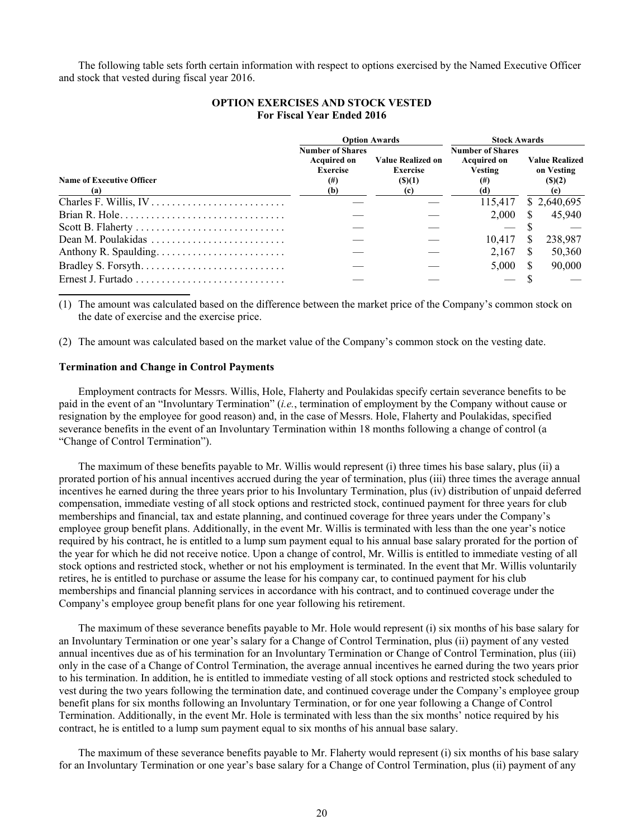The following table sets forth certain information with respect to options exercised by the Named Executive Officer and stock that vested during fiscal year 2016.

|                                  |                                       | <b>Option Awards</b>                        | <b>Stock Awards</b>           |    |                                     |  |
|----------------------------------|---------------------------------------|---------------------------------------------|-------------------------------|----|-------------------------------------|--|
|                                  | <b>Number of Shares</b>               |                                             | <b>Number of Shares</b>       |    |                                     |  |
|                                  | <b>Acquired on</b><br><b>Exercise</b> | <b>Value Realized on</b><br><b>Exercise</b> | <b>Acquired on</b><br>Vesting |    | <b>Value Realized</b><br>on Vesting |  |
| <b>Name of Executive Officer</b> | $^{(\#)}$                             | $($ (\$)(1)                                 | $^{(#)}$                      |    | (S)(2)                              |  |
| (a)                              | (b)                                   | (c)                                         | (d)                           |    | (e)                                 |  |
|                                  |                                       |                                             | 115.417                       |    | \$2,640,695                         |  |
|                                  |                                       |                                             | 2.000                         |    | 45,940                              |  |
|                                  |                                       |                                             |                               |    |                                     |  |
| Dean M. Poulakidas               |                                       |                                             | 10.417                        | S  | 238,987                             |  |
|                                  |                                       |                                             | 2.167                         | -S | 50,360                              |  |
|                                  |                                       |                                             | 5,000                         |    | 90,000                              |  |
|                                  |                                       |                                             |                               |    |                                     |  |

# **OPTION EXERCISES AND STOCK VESTED For Fiscal Year Ended 2016**

(1) The amount was calculated based on the difference between the market price of the Company's common stock on the date of exercise and the exercise price.

(2) The amount was calculated based on the market value of the Company's common stock on the vesting date.

# **Termination and Change in Control Payments**

Employment contracts for Messrs. Willis, Hole, Flaherty and Poulakidas specify certain severance benefits to be paid in the event of an "Involuntary Termination" (*i.e.*, termination of employment by the Company without cause or resignation by the employee for good reason) and, in the case of Messrs. Hole, Flaherty and Poulakidas, specified severance benefits in the event of an Involuntary Termination within 18 months following a change of control (a "Change of Control Termination").

The maximum of these benefits payable to Mr. Willis would represent (i) three times his base salary, plus (ii) a prorated portion of his annual incentives accrued during the year of termination, plus (iii) three times the average annual incentives he earned during the three years prior to his Involuntary Termination, plus (iv) distribution of unpaid deferred compensation, immediate vesting of all stock options and restricted stock, continued payment for three years for club memberships and financial, tax and estate planning, and continued coverage for three years under the Company's employee group benefit plans. Additionally, in the event Mr. Willis is terminated with less than the one year's notice required by his contract, he is entitled to a lump sum payment equal to his annual base salary prorated for the portion of the year for which he did not receive notice. Upon a change of control, Mr. Willis is entitled to immediate vesting of all stock options and restricted stock, whether or not his employment is terminated. In the event that Mr. Willis voluntarily retires, he is entitled to purchase or assume the lease for his company car, to continued payment for his club memberships and financial planning services in accordance with his contract, and to continued coverage under the Company's employee group benefit plans for one year following his retirement.

The maximum of these severance benefits payable to Mr. Hole would represent (i) six months of his base salary for an Involuntary Termination or one year's salary for a Change of Control Termination, plus (ii) payment of any vested annual incentives due as of his termination for an Involuntary Termination or Change of Control Termination, plus (iii) only in the case of a Change of Control Termination, the average annual incentives he earned during the two years prior to his termination. In addition, he is entitled to immediate vesting of all stock options and restricted stock scheduled to vest during the two years following the termination date, and continued coverage under the Company's employee group benefit plans for six months following an Involuntary Termination, or for one year following a Change of Control Termination. Additionally, in the event Mr. Hole is terminated with less than the six months' notice required by his contract, he is entitled to a lump sum payment equal to six months of his annual base salary.

The maximum of these severance benefits payable to Mr. Flaherty would represent (i) six months of his base salary for an Involuntary Termination or one year's base salary for a Change of Control Termination, plus (ii) payment of any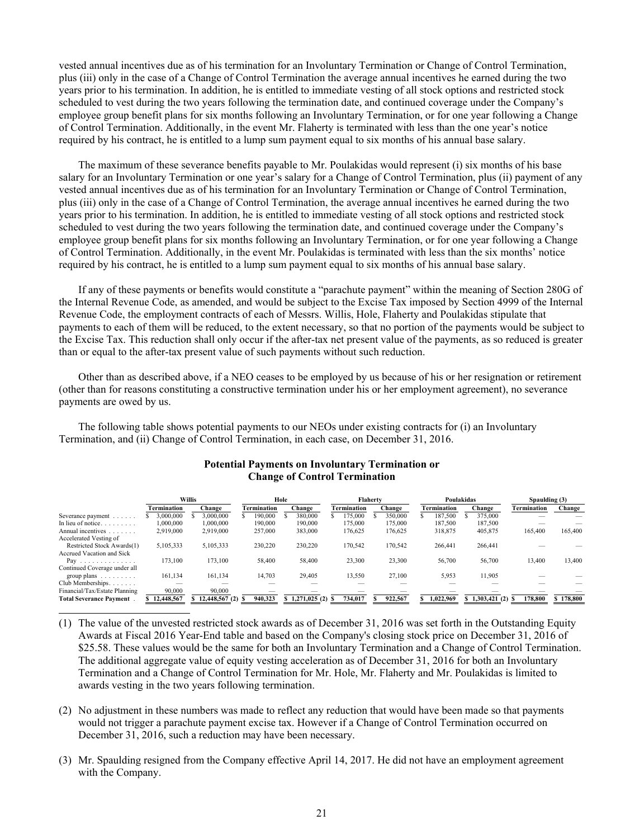vested annual incentives due as of his termination for an Involuntary Termination or Change of Control Termination, plus (iii) only in the case of a Change of Control Termination the average annual incentives he earned during the two years prior to his termination. In addition, he is entitled to immediate vesting of all stock options and restricted stock scheduled to vest during the two years following the termination date, and continued coverage under the Company's employee group benefit plans for six months following an Involuntary Termination, or for one year following a Change of Control Termination. Additionally, in the event Mr. Flaherty is terminated with less than the one year's notice required by his contract, he is entitled to a lump sum payment equal to six months of his annual base salary.

The maximum of these severance benefits payable to Mr. Poulakidas would represent (i) six months of his base salary for an Involuntary Termination or one year's salary for a Change of Control Termination, plus (ii) payment of any vested annual incentives due as of his termination for an Involuntary Termination or Change of Control Termination, plus (iii) only in the case of a Change of Control Termination, the average annual incentives he earned during the two years prior to his termination. In addition, he is entitled to immediate vesting of all stock options and restricted stock scheduled to vest during the two years following the termination date, and continued coverage under the Company's employee group benefit plans for six months following an Involuntary Termination, or for one year following a Change of Control Termination. Additionally, in the event Mr. Poulakidas is terminated with less than the six months' notice required by his contract, he is entitled to a lump sum payment equal to six months of his annual base salary.

If any of these payments or benefits would constitute a "parachute payment" within the meaning of Section 280G of the Internal Revenue Code, as amended, and would be subject to the Excise Tax imposed by Section 4999 of the Internal Revenue Code, the employment contracts of each of Messrs. Willis, Hole, Flaherty and Poulakidas stipulate that payments to each of them will be reduced, to the extent necessary, so that no portion of the payments would be subject to the Excise Tax. This reduction shall only occur if the after-tax net present value of the payments, as so reduced is greater than or equal to the after-tax present value of such payments without such reduction.

Other than as described above, if a NEO ceases to be employed by us because of his or her resignation or retirement (other than for reasons constituting a constructive termination under his or her employment agreement), no severance payments are owed by us.

The following table shows potential payments to our NEOs under existing contracts for (i) an Involuntary Termination, and (ii) Change of Control Termination, in each case, on December 31, 2016.

|                                    | Willis       |                    | Hole        |                   |                    | <b>Flaherty</b> |                    | Poulakidas        | Spaulding (3) |           |
|------------------------------------|--------------|--------------------|-------------|-------------------|--------------------|-----------------|--------------------|-------------------|---------------|-----------|
|                                    | Termination  | Change             | Termination | Change            | <b>Termination</b> | Change          | <b>Termination</b> | Change            | Termination   | Change    |
| Severance payment                  | 3,000,000    | 3.000.000          | 190.000     | 380,000           | 175.000            | 350,000         | 187.500            | 375.000           |               |           |
| In lieu of notice.<br>.            | 1.000.000    | 1.000.000          | 190.000     | 190,000           | 175.000            | 175.000         | 187.500            | 187,500           |               |           |
| Annual incentives<br>and a state   | 2,919,000    | 2,919,000          | 257,000     | 383,000           | 176.625            | 176.625         | 318,875            | 405,875           | 165,400       | 165,400   |
| Accelerated Vesting of             |              |                    |             |                   |                    |                 |                    |                   |               |           |
| Restricted Stock Awards(1)         | 5,105,333    | 5,105,333          | 230,220     | 230.220           | 170.542            | 170.542         | 266.441            | 266,441           |               |           |
| Accrued Vacation and Sick          |              |                    |             |                   |                    |                 |                    |                   |               |           |
| Pay<br>.                           | 173,100      | 173,100            | 58,400      | 58,400            | 23,300             | 23,300          | 56,700             | 56,700            | 13,400        | 13,400    |
| Continued Coverage under all       |              |                    |             |                   |                    |                 |                    |                   |               |           |
| group plans $\ldots \ldots \ldots$ | 161,134      | 161,134            | 14,703      | 29,405            | 13.550             | 27,100          | 5,953              | 11,905            |               |           |
| Club Memberships.                  |              |                    |             |                   |                    |                 |                    |                   |               |           |
| Financial/Tax/Estate Planning      | 90.000       | 90.000             |             |                   |                    |                 |                    |                   |               |           |
| <b>Total Severance Payment</b>     | \$12,448,567 | $$12,448,567(2)$ S | 940,323     | $$1,271,025(2)$ S | 734.017            | 922,567         | 1.022.969          | $$1,303,421(2)$ S | 178,800       | \$178,800 |

# **Potential Payments on Involuntary Termination or Change of Control Termination**

- (1) The value of the unvested restricted stock awards as of December 31, 2016 was set forth in the Outstanding Equity Awards at Fiscal 2016 Year-End table and based on the Company's closing stock price on December 31, 2016 of \$25.58. These values would be the same for both an Involuntary Termination and a Change of Control Termination. The additional aggregate value of equity vesting acceleration as of December 31, 2016 for both an Involuntary Termination and a Change of Control Termination for Mr. Hole, Mr. Flaherty and Mr. Poulakidas is limited to awards vesting in the two years following termination.
- (2) No adjustment in these numbers was made to reflect any reduction that would have been made so that payments would not trigger a parachute payment excise tax. However if a Change of Control Termination occurred on December 31, 2016, such a reduction may have been necessary.
- (3) Mr. Spaulding resigned from the Company effective April 14, 2017. He did not have an employment agreement with the Company.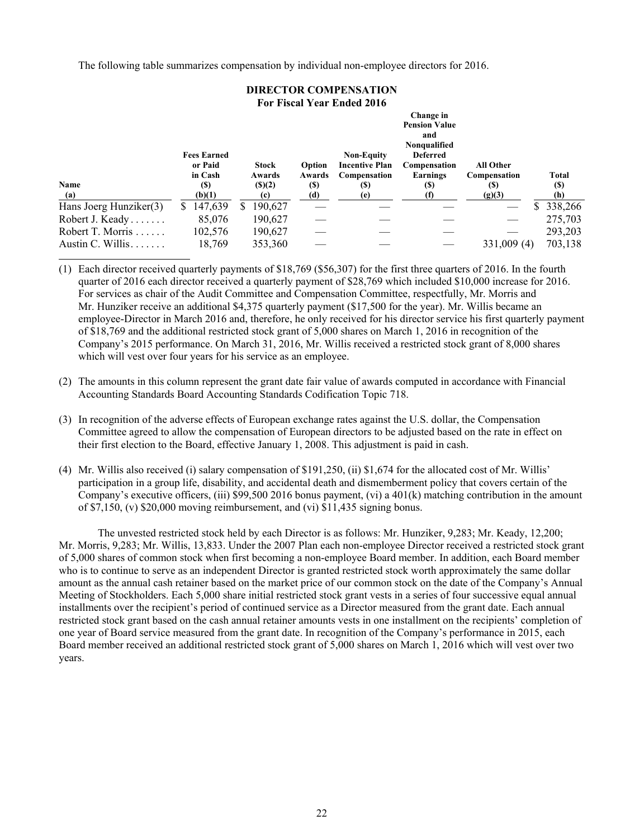The following table summarizes compensation by individual non-employee directors for 2016.

| DIKECTOR COMI ENGATION     |                               |               |        |                                            |                                                                                             |                  |              |  |  |  |  |
|----------------------------|-------------------------------|---------------|--------|--------------------------------------------|---------------------------------------------------------------------------------------------|------------------|--------------|--|--|--|--|
| For Fiscal Year Ended 2016 |                               |               |        |                                            |                                                                                             |                  |              |  |  |  |  |
|                            | <b>Fees Earned</b><br>or Paid | <b>Stock</b>  | Option | <b>Non-Equity</b><br><b>Incentive Plan</b> | Change in<br><b>Pension Value</b><br>and<br>Nonqualified<br><b>Deferred</b><br>Compensation | <b>All Other</b> |              |  |  |  |  |
|                            | in Cash                       | Awards        | Awards | Compensation                               | Earnings                                                                                    | Compensation     | Total        |  |  |  |  |
| Name                       | (\$)                          | (S)(2)        | (S)    | <b>(S)</b>                                 | (S)                                                                                         | (S)              | (S)          |  |  |  |  |
| (a)                        | (b)(1)                        | (c)           | (d)    | (e)                                        | (1)                                                                                         | (g)(3)           | (h)          |  |  |  |  |
| Hans Joerg Hunziker(3)     | 147,639<br>S.                 | 190,627<br>S. |        |                                            |                                                                                             |                  | 338,266<br>S |  |  |  |  |
| Robert J. Keady            | 85,076                        | 190,627       |        |                                            |                                                                                             |                  | 275,703      |  |  |  |  |
| Robert T. Morris           | 102,576                       | 190,627       |        |                                            |                                                                                             |                  | 293,203      |  |  |  |  |
| Austin C. Willis           | 18,769                        | 353,360       |        |                                            |                                                                                             | 331,009 (4)      | 703,138      |  |  |  |  |

**DIRECTOR COMPENSATION** 

(1) Each director received quarterly payments of \$18,769 (\$56,307) for the first three quarters of 2016. In the fourth quarter of 2016 each director received a quarterly payment of \$28,769 which included \$10,000 increase for 2016. For services as chair of the Audit Committee and Compensation Committee, respectfully, Mr. Morris and Mr. Hunziker receive an additional \$4,375 quarterly payment (\$17,500 for the year). Mr. Willis became an employee-Director in March 2016 and, therefore, he only received for his director service his first quarterly payment of \$18,769 and the additional restricted stock grant of 5,000 shares on March 1, 2016 in recognition of the Company's 2015 performance. On March 31, 2016, Mr. Willis received a restricted stock grant of 8,000 shares which will vest over four years for his service as an employee.

- (2) The amounts in this column represent the grant date fair value of awards computed in accordance with Financial Accounting Standards Board Accounting Standards Codification Topic 718.
- (3) In recognition of the adverse effects of European exchange rates against the U.S. dollar, the Compensation Committee agreed to allow the compensation of European directors to be adjusted based on the rate in effect on their first election to the Board, effective January 1, 2008. This adjustment is paid in cash.
- (4) Mr. Willis also received (i) salary compensation of \$191,250, (ii) \$1,674 for the allocated cost of Mr. Willis' participation in a group life, disability, and accidental death and dismemberment policy that covers certain of the Company's executive officers, (iii) \$99,500 2016 bonus payment, (vi) a 401(k) matching contribution in the amount of \$7,150, (v) \$20,000 moving reimbursement, and (vi) \$11,435 signing bonus.

The unvested restricted stock held by each Director is as follows: Mr. Hunziker, 9,283; Mr. Keady, 12,200; Mr. Morris, 9,283; Mr. Willis, 13,833. Under the 2007 Plan each non-employee Director received a restricted stock grant of 5,000 shares of common stock when first becoming a non-employee Board member. In addition, each Board member who is to continue to serve as an independent Director is granted restricted stock worth approximately the same dollar amount as the annual cash retainer based on the market price of our common stock on the date of the Company's Annual Meeting of Stockholders. Each 5,000 share initial restricted stock grant vests in a series of four successive equal annual installments over the recipient's period of continued service as a Director measured from the grant date. Each annual restricted stock grant based on the cash annual retainer amounts vests in one installment on the recipients' completion of one year of Board service measured from the grant date. In recognition of the Company's performance in 2015, each Board member received an additional restricted stock grant of 5,000 shares on March 1, 2016 which will vest over two years.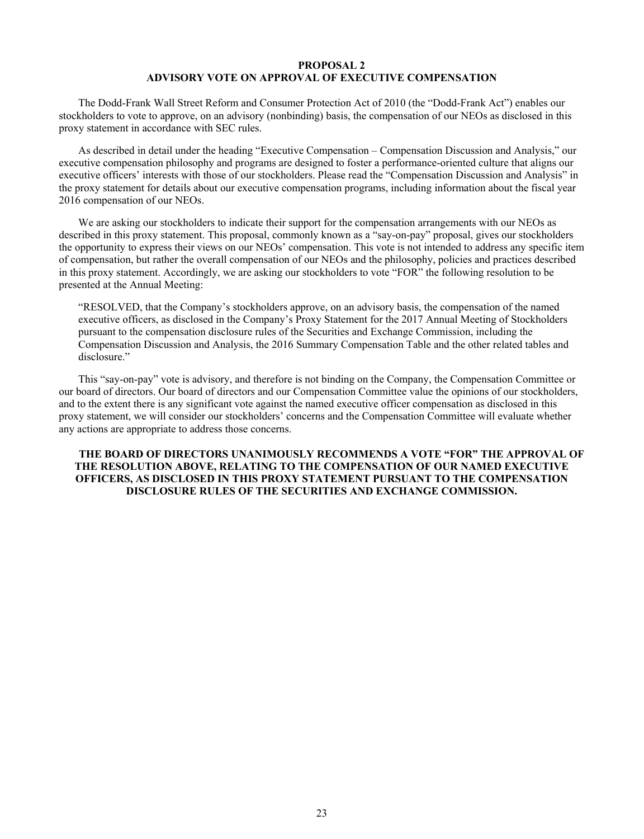# **PROPOSAL 2 ADVISORY VOTE ON APPROVAL OF EXECUTIVE COMPENSATION**

The Dodd-Frank Wall Street Reform and Consumer Protection Act of 2010 (the "Dodd-Frank Act") enables our stockholders to vote to approve, on an advisory (nonbinding) basis, the compensation of our NEOs as disclosed in this proxy statement in accordance with SEC rules.

As described in detail under the heading "Executive Compensation – Compensation Discussion and Analysis," our executive compensation philosophy and programs are designed to foster a performance-oriented culture that aligns our executive officers' interests with those of our stockholders. Please read the "Compensation Discussion and Analysis" in the proxy statement for details about our executive compensation programs, including information about the fiscal year 2016 compensation of our NEOs.

We are asking our stockholders to indicate their support for the compensation arrangements with our NEOs as described in this proxy statement. This proposal, commonly known as a "say-on-pay" proposal, gives our stockholders the opportunity to express their views on our NEOs' compensation. This vote is not intended to address any specific item of compensation, but rather the overall compensation of our NEOs and the philosophy, policies and practices described in this proxy statement. Accordingly, we are asking our stockholders to vote "FOR" the following resolution to be presented at the Annual Meeting:

"RESOLVED, that the Company's stockholders approve, on an advisory basis, the compensation of the named executive officers, as disclosed in the Company's Proxy Statement for the 2017 Annual Meeting of Stockholders pursuant to the compensation disclosure rules of the Securities and Exchange Commission, including the Compensation Discussion and Analysis, the 2016 Summary Compensation Table and the other related tables and disclosure."

This "say-on-pay" vote is advisory, and therefore is not binding on the Company, the Compensation Committee or our board of directors. Our board of directors and our Compensation Committee value the opinions of our stockholders, and to the extent there is any significant vote against the named executive officer compensation as disclosed in this proxy statement, we will consider our stockholders' concerns and the Compensation Committee will evaluate whether any actions are appropriate to address those concerns.

# **THE BOARD OF DIRECTORS UNANIMOUSLY RECOMMENDS A VOTE "FOR" THE APPROVAL OF THE RESOLUTION ABOVE, RELATING TO THE COMPENSATION OF OUR NAMED EXECUTIVE OFFICERS, AS DISCLOSED IN THIS PROXY STATEMENT PURSUANT TO THE COMPENSATION DISCLOSURE RULES OF THE SECURITIES AND EXCHANGE COMMISSION.**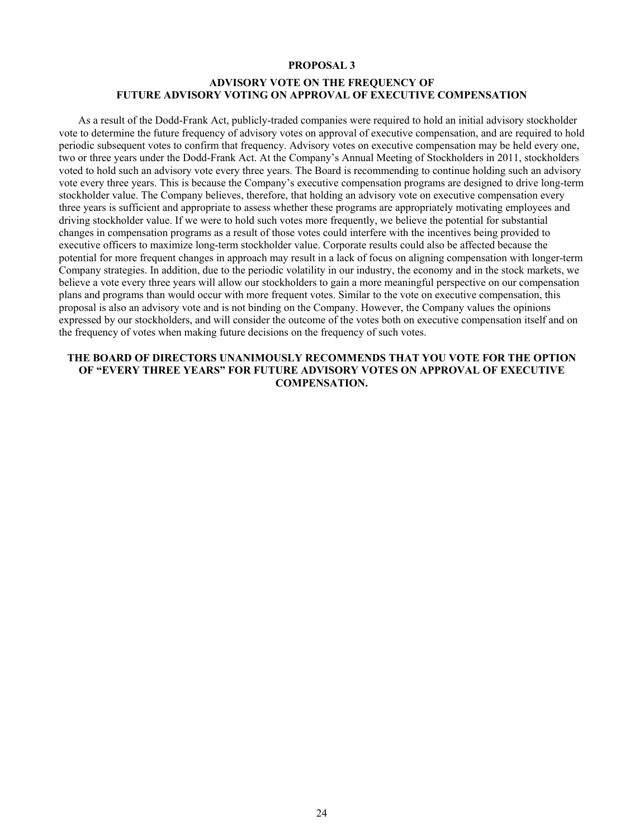### **PROPOSAL 3**

# **ADVISORY VOTE ON THE FREQUENCY OF FUTURE ADVISORY VOTING ON APPROVAL OF EXECUTIVE COMPENSATION**

As a result of the Dodd-Frank Act, publicly-traded companies were required to hold an initial advisory stockholder vote to determine the future frequency of advisory votes on approval of executive compensation, and are required to hold periodic subsequent votes to confirm that frequency. Advisory votes on executive compensation may be held every one, two or three years under the Dodd-Frank Act. At the Company's Annual Meeting of Stockholders in 2011, stockholders voted to hold such an advisory vote every three years. The Board is recommending to continue holding such an advisory vote every three years. This is because the Company's executive compensation programs are designed to drive long-term stockholder value. The Company believes, therefore, that holding an advisory vote on executive compensation every three years is sufficient and appropriate to assess whether these programs are appropriately motivating employees and driving stockholder value. If we were to hold such votes more frequently, we believe the potential for substantial changes in compensation programs as a result of those votes could interfere with the incentives being provided to executive officers to maximize long-term stockholder value. Corporate results could also be affected because the potential for more frequent changes in approach may result in a lack of focus on aligning compensation with longer-term Company strategies. In addition, due to the periodic volatility in our industry, the economy and in the stock markets, we believe a vote every three years will allow our stockholders to gain a more meaningful perspective on our compensation plans and programs than would occur with more frequent votes. Similar to the vote on executive compensation, this proposal is also an advisory vote and is not binding on the Company. However, the Company values the opinions expressed by our stockholders, and will consider the outcome of the votes both on executive compensation itself and on the frequency of votes when making future decisions on the frequency of such votes.

# **THE BOARD OF DIRECTORS UNANIMOUSLY RECOMMENDS THAT YOU VOTE FOR THE OPTION OF "EVERY THREE YEARS" FOR FUTURE ADVISORY VOTES ON APPROVAL OF EXECUTIVE COMPENSATION.**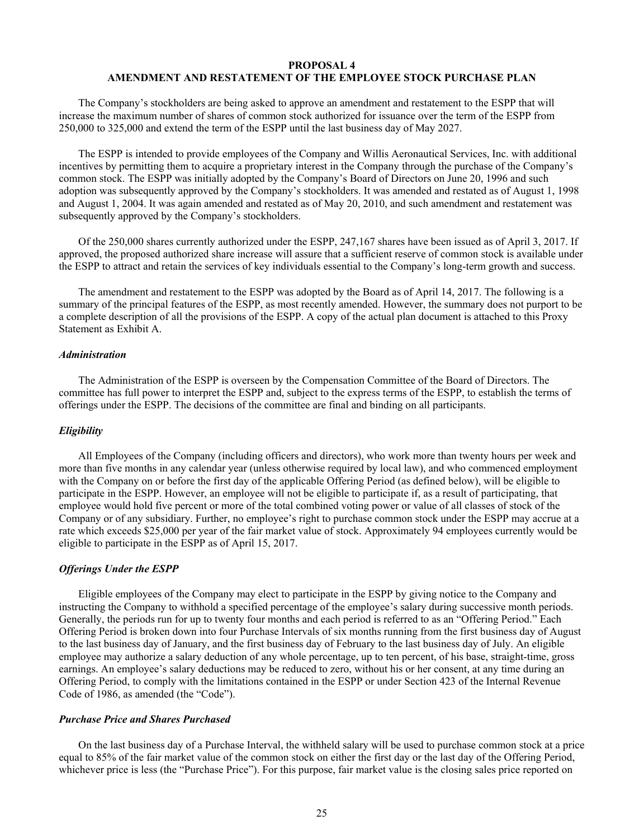# **PROPOSAL 4 AMENDMENT AND RESTATEMENT OF THE EMPLOYEE STOCK PURCHASE PLAN**

The Company's stockholders are being asked to approve an amendment and restatement to the ESPP that will increase the maximum number of shares of common stock authorized for issuance over the term of the ESPP from 250,000 to 325,000 and extend the term of the ESPP until the last business day of May 2027.

The ESPP is intended to provide employees of the Company and Willis Aeronautical Services, Inc. with additional incentives by permitting them to acquire a proprietary interest in the Company through the purchase of the Company's common stock. The ESPP was initially adopted by the Company's Board of Directors on June 20, 1996 and such adoption was subsequently approved by the Company's stockholders. It was amended and restated as of August 1, 1998 and August 1, 2004. It was again amended and restated as of May 20, 2010, and such amendment and restatement was subsequently approved by the Company's stockholders.

Of the 250,000 shares currently authorized under the ESPP, 247,167 shares have been issued as of April 3, 2017. If approved, the proposed authorized share increase will assure that a sufficient reserve of common stock is available under the ESPP to attract and retain the services of key individuals essential to the Company's long-term growth and success.

The amendment and restatement to the ESPP was adopted by the Board as of April 14, 2017. The following is a summary of the principal features of the ESPP, as most recently amended. However, the summary does not purport to be a complete description of all the provisions of the ESPP. A copy of the actual plan document is attached to this Proxy Statement as Exhibit A.

#### *Administration*

The Administration of the ESPP is overseen by the Compensation Committee of the Board of Directors. The committee has full power to interpret the ESPP and, subject to the express terms of the ESPP, to establish the terms of offerings under the ESPP. The decisions of the committee are final and binding on all participants.

#### *Eligibility*

All Employees of the Company (including officers and directors), who work more than twenty hours per week and more than five months in any calendar year (unless otherwise required by local law), and who commenced employment with the Company on or before the first day of the applicable Offering Period (as defined below), will be eligible to participate in the ESPP. However, an employee will not be eligible to participate if, as a result of participating, that employee would hold five percent or more of the total combined voting power or value of all classes of stock of the Company or of any subsidiary. Further, no employee's right to purchase common stock under the ESPP may accrue at a rate which exceeds \$25,000 per year of the fair market value of stock. Approximately 94 employees currently would be eligible to participate in the ESPP as of April 15, 2017.

# *Offerings Under the ESPP*

Eligible employees of the Company may elect to participate in the ESPP by giving notice to the Company and instructing the Company to withhold a specified percentage of the employee's salary during successive month periods. Generally, the periods run for up to twenty four months and each period is referred to as an "Offering Period." Each Offering Period is broken down into four Purchase Intervals of six months running from the first business day of August to the last business day of January, and the first business day of February to the last business day of July. An eligible employee may authorize a salary deduction of any whole percentage, up to ten percent, of his base, straight-time, gross earnings. An employee's salary deductions may be reduced to zero, without his or her consent, at any time during an Offering Period, to comply with the limitations contained in the ESPP or under Section 423 of the Internal Revenue Code of 1986, as amended (the "Code").

### *Purchase Price and Shares Purchased*

On the last business day of a Purchase Interval, the withheld salary will be used to purchase common stock at a price equal to 85% of the fair market value of the common stock on either the first day or the last day of the Offering Period, whichever price is less (the "Purchase Price"). For this purpose, fair market value is the closing sales price reported on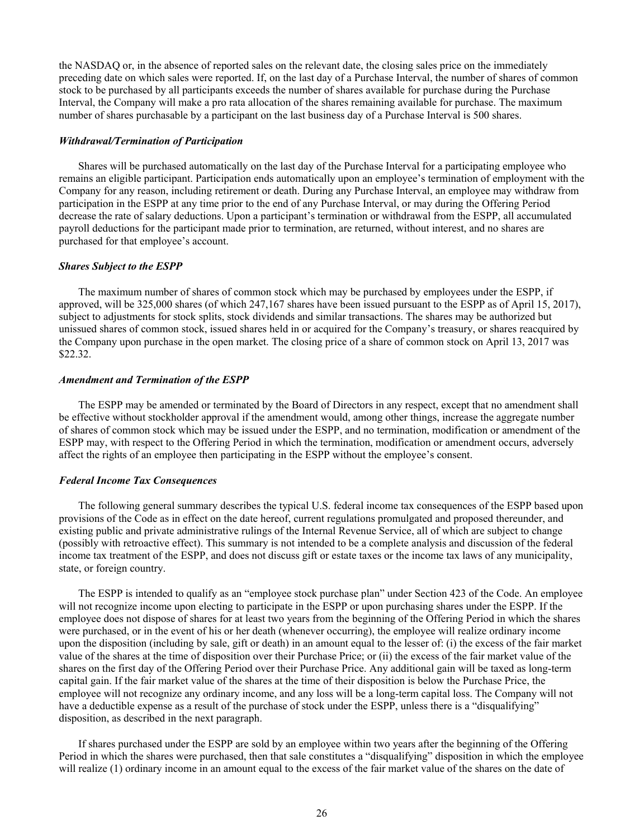the NASDAQ or, in the absence of reported sales on the relevant date, the closing sales price on the immediately preceding date on which sales were reported. If, on the last day of a Purchase Interval, the number of shares of common stock to be purchased by all participants exceeds the number of shares available for purchase during the Purchase Interval, the Company will make a pro rata allocation of the shares remaining available for purchase. The maximum number of shares purchasable by a participant on the last business day of a Purchase Interval is 500 shares.

# *Withdrawal/Termination of Participation*

Shares will be purchased automatically on the last day of the Purchase Interval for a participating employee who remains an eligible participant. Participation ends automatically upon an employee's termination of employment with the Company for any reason, including retirement or death. During any Purchase Interval, an employee may withdraw from participation in the ESPP at any time prior to the end of any Purchase Interval, or may during the Offering Period decrease the rate of salary deductions. Upon a participant's termination or withdrawal from the ESPP, all accumulated payroll deductions for the participant made prior to termination, are returned, without interest, and no shares are purchased for that employee's account.

# *Shares Subject to the ESPP*

The maximum number of shares of common stock which may be purchased by employees under the ESPP, if approved, will be 325,000 shares (of which 247,167 shares have been issued pursuant to the ESPP as of April 15, 2017), subject to adjustments for stock splits, stock dividends and similar transactions. The shares may be authorized but unissued shares of common stock, issued shares held in or acquired for the Company's treasury, or shares reacquired by the Company upon purchase in the open market. The closing price of a share of common stock on April 13, 2017 was \$22.32.

#### *Amendment and Termination of the ESPP*

The ESPP may be amended or terminated by the Board of Directors in any respect, except that no amendment shall be effective without stockholder approval if the amendment would, among other things, increase the aggregate number of shares of common stock which may be issued under the ESPP, and no termination, modification or amendment of the ESPP may, with respect to the Offering Period in which the termination, modification or amendment occurs, adversely affect the rights of an employee then participating in the ESPP without the employee's consent.

#### *Federal Income Tax Consequences*

The following general summary describes the typical U.S. federal income tax consequences of the ESPP based upon provisions of the Code as in effect on the date hereof, current regulations promulgated and proposed thereunder, and existing public and private administrative rulings of the Internal Revenue Service, all of which are subject to change (possibly with retroactive effect). This summary is not intended to be a complete analysis and discussion of the federal income tax treatment of the ESPP, and does not discuss gift or estate taxes or the income tax laws of any municipality, state, or foreign country.

The ESPP is intended to qualify as an "employee stock purchase plan" under Section 423 of the Code. An employee will not recognize income upon electing to participate in the ESPP or upon purchasing shares under the ESPP. If the employee does not dispose of shares for at least two years from the beginning of the Offering Period in which the shares were purchased, or in the event of his or her death (whenever occurring), the employee will realize ordinary income upon the disposition (including by sale, gift or death) in an amount equal to the lesser of: (i) the excess of the fair market value of the shares at the time of disposition over their Purchase Price; or (ii) the excess of the fair market value of the shares on the first day of the Offering Period over their Purchase Price. Any additional gain will be taxed as long-term capital gain. If the fair market value of the shares at the time of their disposition is below the Purchase Price, the employee will not recognize any ordinary income, and any loss will be a long-term capital loss. The Company will not have a deductible expense as a result of the purchase of stock under the ESPP, unless there is a "disqualifying" disposition, as described in the next paragraph.

If shares purchased under the ESPP are sold by an employee within two years after the beginning of the Offering Period in which the shares were purchased, then that sale constitutes a "disqualifying" disposition in which the employee will realize (1) ordinary income in an amount equal to the excess of the fair market value of the shares on the date of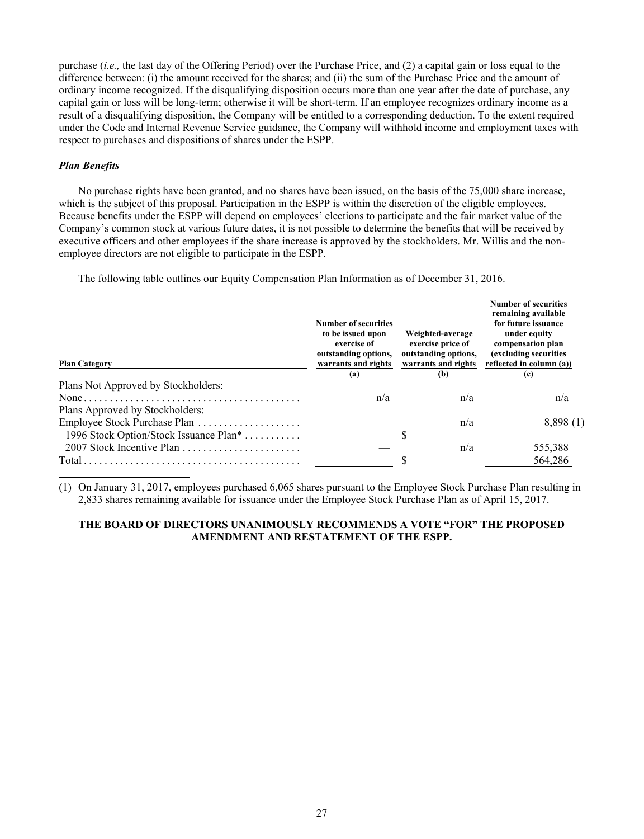purchase (*i.e.,* the last day of the Offering Period) over the Purchase Price, and (2) a capital gain or loss equal to the difference between: (i) the amount received for the shares; and (ii) the sum of the Purchase Price and the amount of ordinary income recognized. If the disqualifying disposition occurs more than one year after the date of purchase, any capital gain or loss will be long-term; otherwise it will be short-term. If an employee recognizes ordinary income as a result of a disqualifying disposition, the Company will be entitled to a corresponding deduction. To the extent required under the Code and Internal Revenue Service guidance, the Company will withhold income and employment taxes with respect to purchases and dispositions of shares under the ESPP.

# *Plan Benefits*

No purchase rights have been granted, and no shares have been issued, on the basis of the 75,000 share increase, which is the subject of this proposal. Participation in the ESPP is within the discretion of the eligible employees. Because benefits under the ESPP will depend on employees' elections to participate and the fair market value of the Company's common stock at various future dates, it is not possible to determine the benefits that will be received by executive officers and other employees if the share increase is approved by the stockholders. Mr. Willis and the nonemployee directors are not eligible to participate in the ESPP.

The following table outlines our Equity Compensation Plan Information as of December 31, 2016.

| <b>Plan Category</b>                                                                                    | Number of securities<br>to be issued upon<br>exercise of<br>outstanding options,<br>warrants and rights<br>(a) | Weighted-average<br>exercise price of<br>outstanding options,<br>warrants and rights<br>(b) | Number of securities<br>remaining available<br>for future issuance<br>under equity<br>compensation plan<br>(excluding securities<br>reflected in column (a))<br>(c) |  |
|---------------------------------------------------------------------------------------------------------|----------------------------------------------------------------------------------------------------------------|---------------------------------------------------------------------------------------------|---------------------------------------------------------------------------------------------------------------------------------------------------------------------|--|
| Plans Not Approved by Stockholders:                                                                     |                                                                                                                |                                                                                             |                                                                                                                                                                     |  |
|                                                                                                         | n/a                                                                                                            | n/a                                                                                         | n/a                                                                                                                                                                 |  |
| Plans Approved by Stockholders:                                                                         |                                                                                                                |                                                                                             |                                                                                                                                                                     |  |
| Employee Stock Purchase Plan                                                                            |                                                                                                                | n/a                                                                                         | 8,898(1)                                                                                                                                                            |  |
| 1996 Stock Option/Stock Issuance Plan <sup>*</sup>                                                      |                                                                                                                | - S                                                                                         |                                                                                                                                                                     |  |
|                                                                                                         |                                                                                                                | n/a                                                                                         | 555,388                                                                                                                                                             |  |
| $Total \dots \dots \dots \dots \dots \dots \dots \dots \dots \dots \dots \dots \dots \dots \dots \dots$ |                                                                                                                |                                                                                             | 564,286                                                                                                                                                             |  |

(1) On January 31, 2017, employees purchased 6,065 shares pursuant to the Employee Stock Purchase Plan resulting in 2,833 shares remaining available for issuance under the Employee Stock Purchase Plan as of April 15, 2017.

# **THE BOARD OF DIRECTORS UNANIMOUSLY RECOMMENDS A VOTE "FOR" THE PROPOSED AMENDMENT AND RESTATEMENT OF THE ESPP.**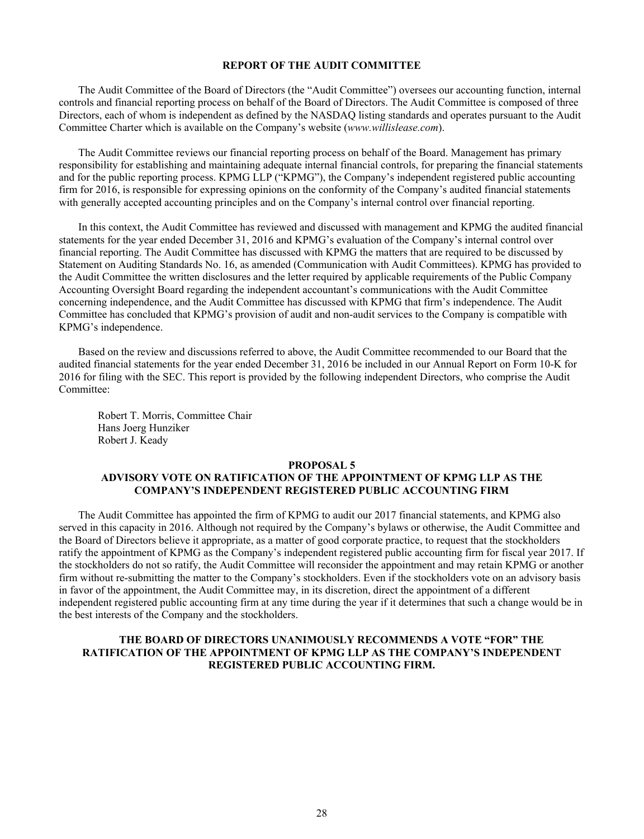### **REPORT OF THE AUDIT COMMITTEE**

The Audit Committee of the Board of Directors (the "Audit Committee") oversees our accounting function, internal controls and financial reporting process on behalf of the Board of Directors. The Audit Committee is composed of three Directors, each of whom is independent as defined by the NASDAQ listing standards and operates pursuant to the Audit Committee Charter which is available on the Company's website (*www.willislease.com*).

The Audit Committee reviews our financial reporting process on behalf of the Board. Management has primary responsibility for establishing and maintaining adequate internal financial controls, for preparing the financial statements and for the public reporting process. KPMG LLP ("KPMG"), the Company's independent registered public accounting firm for 2016, is responsible for expressing opinions on the conformity of the Company's audited financial statements with generally accepted accounting principles and on the Company's internal control over financial reporting.

In this context, the Audit Committee has reviewed and discussed with management and KPMG the audited financial statements for the year ended December 31, 2016 and KPMG's evaluation of the Company's internal control over financial reporting. The Audit Committee has discussed with KPMG the matters that are required to be discussed by Statement on Auditing Standards No. 16, as amended (Communication with Audit Committees). KPMG has provided to the Audit Committee the written disclosures and the letter required by applicable requirements of the Public Company Accounting Oversight Board regarding the independent accountant's communications with the Audit Committee concerning independence, and the Audit Committee has discussed with KPMG that firm's independence. The Audit Committee has concluded that KPMG's provision of audit and non-audit services to the Company is compatible with KPMG's independence.

Based on the review and discussions referred to above, the Audit Committee recommended to our Board that the audited financial statements for the year ended December 31, 2016 be included in our Annual Report on Form 10-K for 2016 for filing with the SEC. This report is provided by the following independent Directors, who comprise the Audit Committee:

Robert T. Morris, Committee Chair Hans Joerg Hunziker Robert J. Keady

#### **PROPOSAL 5**

# **ADVISORY VOTE ON RATIFICATION OF THE APPOINTMENT OF KPMG LLP AS THE COMPANY'S INDEPENDENT REGISTERED PUBLIC ACCOUNTING FIRM**

The Audit Committee has appointed the firm of KPMG to audit our 2017 financial statements, and KPMG also served in this capacity in 2016. Although not required by the Company's bylaws or otherwise, the Audit Committee and the Board of Directors believe it appropriate, as a matter of good corporate practice, to request that the stockholders ratify the appointment of KPMG as the Company's independent registered public accounting firm for fiscal year 2017. If the stockholders do not so ratify, the Audit Committee will reconsider the appointment and may retain KPMG or another firm without re-submitting the matter to the Company's stockholders. Even if the stockholders vote on an advisory basis in favor of the appointment, the Audit Committee may, in its discretion, direct the appointment of a different independent registered public accounting firm at any time during the year if it determines that such a change would be in the best interests of the Company and the stockholders.

# **THE BOARD OF DIRECTORS UNANIMOUSLY RECOMMENDS A VOTE "FOR" THE RATIFICATION OF THE APPOINTMENT OF KPMG LLP AS THE COMPANY'S INDEPENDENT REGISTERED PUBLIC ACCOUNTING FIRM.**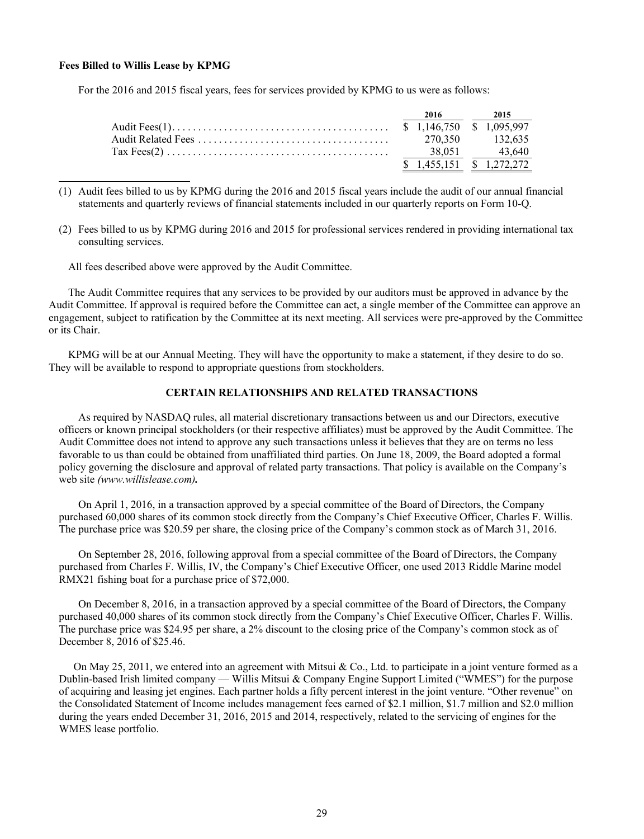# **Fees Billed to Willis Lease by KPMG**

For the 2016 and 2015 fiscal years, fees for services provided by KPMG to us were as follows:

|  | 2016 — 2016 | 2015                      |
|--|-------------|---------------------------|
|  |             |                           |
|  |             | 270.350 132.635           |
|  |             | 38,051 43,640             |
|  |             | $$1,455,151$ $$1,272,272$ |

(1) Audit fees billed to us by KPMG during the 2016 and 2015 fiscal years include the audit of our annual financial statements and quarterly reviews of financial statements included in our quarterly reports on Form 10-Q.

(2) Fees billed to us by KPMG during 2016 and 2015 for professional services rendered in providing international tax consulting services.

All fees described above were approved by the Audit Committee.

The Audit Committee requires that any services to be provided by our auditors must be approved in advance by the Audit Committee. If approval is required before the Committee can act, a single member of the Committee can approve an engagement, subject to ratification by the Committee at its next meeting. All services were pre-approved by the Committee or its Chair.

KPMG will be at our Annual Meeting. They will have the opportunity to make a statement, if they desire to do so. They will be available to respond to appropriate questions from stockholders.

# **CERTAIN RELATIONSHIPS AND RELATED TRANSACTIONS**

As required by NASDAQ rules, all material discretionary transactions between us and our Directors, executive officers or known principal stockholders (or their respective affiliates) must be approved by the Audit Committee. The Audit Committee does not intend to approve any such transactions unless it believes that they are on terms no less favorable to us than could be obtained from unaffiliated third parties. On June 18, 2009, the Board adopted a formal policy governing the disclosure and approval of related party transactions. That policy is available on the Company's web site *(www.willislease.com).*

On April 1, 2016, in a transaction approved by a special committee of the Board of Directors, the Company purchased 60,000 shares of its common stock directly from the Company's Chief Executive Officer, Charles F. Willis. The purchase price was \$20.59 per share, the closing price of the Company's common stock as of March 31, 2016.

On September 28, 2016, following approval from a special committee of the Board of Directors, the Company purchased from Charles F. Willis, IV, the Company's Chief Executive Officer, one used 2013 Riddle Marine model RMX21 fishing boat for a purchase price of \$72,000.

On December 8, 2016, in a transaction approved by a special committee of the Board of Directors, the Company purchased 40,000 shares of its common stock directly from the Company's Chief Executive Officer, Charles F. Willis. The purchase price was \$24.95 per share, a 2% discount to the closing price of the Company's common stock as of December 8, 2016 of \$25.46.

On May 25, 2011, we entered into an agreement with Mitsui & Co., Ltd. to participate in a joint venture formed as a Dublin-based Irish limited company — Willis Mitsui & Company Engine Support Limited ("WMES") for the purpose of acquiring and leasing jet engines. Each partner holds a fifty percent interest in the joint venture. "Other revenue" on the Consolidated Statement of Income includes management fees earned of \$2.1 million, \$1.7 million and \$2.0 million during the years ended December 31, 2016, 2015 and 2014, respectively, related to the servicing of engines for the WMES lease portfolio.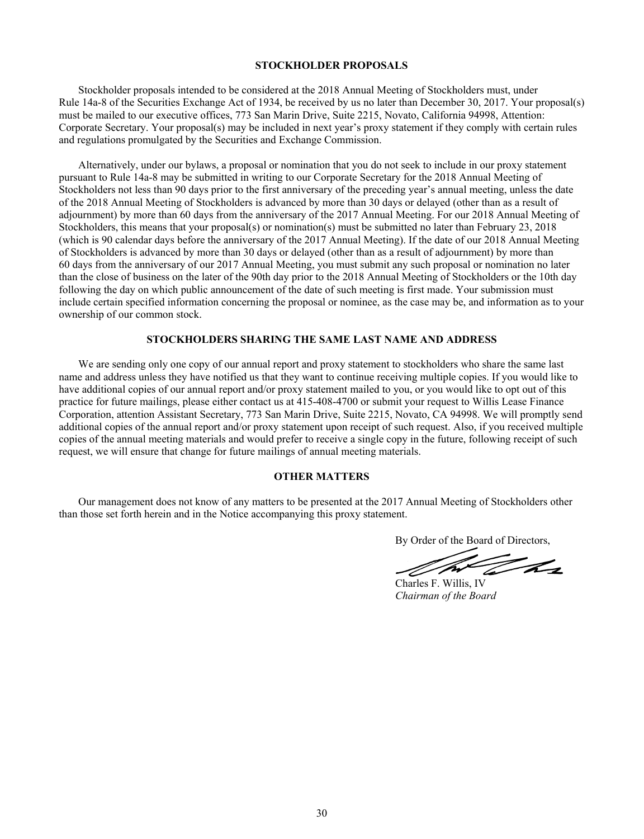# **STOCKHOLDER PROPOSALS**

Stockholder proposals intended to be considered at the 2018 Annual Meeting of Stockholders must, under Rule 14a-8 of the Securities Exchange Act of 1934, be received by us no later than December 30, 2017. Your proposal(s) must be mailed to our executive offices, 773 San Marin Drive, Suite 2215, Novato, California 94998, Attention: Corporate Secretary. Your proposal(s) may be included in next year's proxy statement if they comply with certain rules and regulations promulgated by the Securities and Exchange Commission.

Alternatively, under our bylaws, a proposal or nomination that you do not seek to include in our proxy statement pursuant to Rule 14a-8 may be submitted in writing to our Corporate Secretary for the 2018 Annual Meeting of Stockholders not less than 90 days prior to the first anniversary of the preceding year's annual meeting, unless the date of the 2018 Annual Meeting of Stockholders is advanced by more than 30 days or delayed (other than as a result of adjournment) by more than 60 days from the anniversary of the 2017 Annual Meeting. For our 2018 Annual Meeting of Stockholders, this means that your proposal(s) or nomination(s) must be submitted no later than February 23, 2018 (which is 90 calendar days before the anniversary of the 2017 Annual Meeting). If the date of our 2018 Annual Meeting of Stockholders is advanced by more than 30 days or delayed (other than as a result of adjournment) by more than 60 days from the anniversary of our 2017 Annual Meeting, you must submit any such proposal or nomination no later than the close of business on the later of the 90th day prior to the 2018 Annual Meeting of Stockholders or the 10th day following the day on which public announcement of the date of such meeting is first made. Your submission must include certain specified information concerning the proposal or nominee, as the case may be, and information as to your ownership of our common stock.

# **STOCKHOLDERS SHARING THE SAME LAST NAME AND ADDRESS**

We are sending only one copy of our annual report and proxy statement to stockholders who share the same last name and address unless they have notified us that they want to continue receiving multiple copies. If you would like to have additional copies of our annual report and/or proxy statement mailed to you, or you would like to opt out of this practice for future mailings, please either contact us at 415-408-4700 or submit your request to Willis Lease Finance Corporation, attention Assistant Secretary, 773 San Marin Drive, Suite 2215, Novato, CA 94998. We will promptly send additional copies of the annual report and/or proxy statement upon receipt of such request. Also, if you received multiple copies of the annual meeting materials and would prefer to receive a single copy in the future, following receipt of such request, we will ensure that change for future mailings of annual meeting materials.

# **OTHER MATTERS**

Our management does not know of any matters to be presented at the 2017 Annual Meeting of Stockholders other than those set forth herein and in the Notice accompanying this proxy statement.

By Order of the Board of Directors,

The

Charles F. Willis, IV *Chairman of the Board*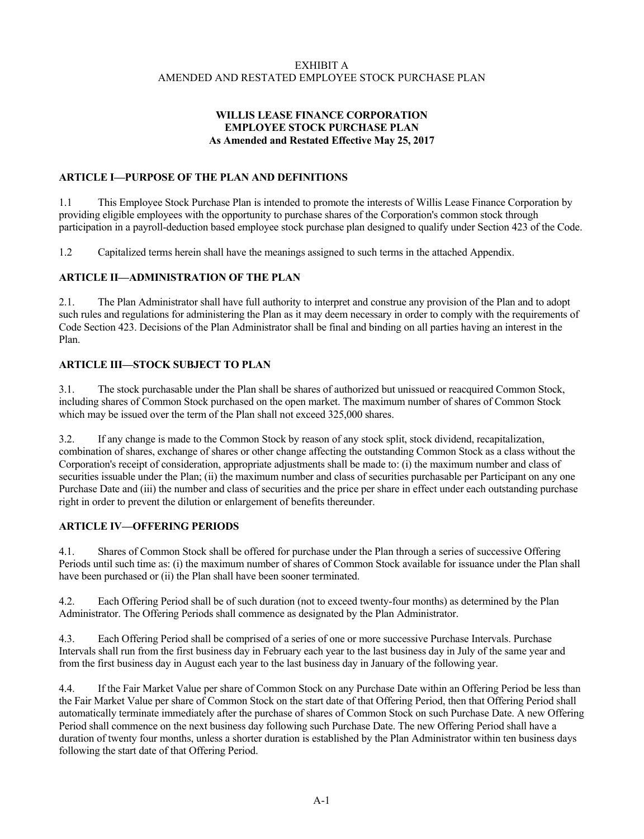# EXHIBIT A AMENDED AND RESTATED EMPLOYEE STOCK PURCHASE PLAN

# **WILLIS LEASE FINANCE CORPORATION EMPLOYEE STOCK PURCHASE PLAN As Amended and Restated Effective May 25, 2017**

# **ARTICLE I—PURPOSE OF THE PLAN AND DEFINITIONS**

1.1 This Employee Stock Purchase Plan is intended to promote the interests of Willis Lease Finance Corporation by providing eligible employees with the opportunity to purchase shares of the Corporation's common stock through participation in a payroll-deduction based employee stock purchase plan designed to qualify under Section 423 of the Code.

1.2 Capitalized terms herein shall have the meanings assigned to such terms in the attached Appendix.

# **ARTICLE II—ADMINISTRATION OF THE PLAN**

2.1. The Plan Administrator shall have full authority to interpret and construe any provision of the Plan and to adopt such rules and regulations for administering the Plan as it may deem necessary in order to comply with the requirements of Code Section 423. Decisions of the Plan Administrator shall be final and binding on all parties having an interest in the Plan.

# **ARTICLE III—STOCK SUBJECT TO PLAN**

3.1. The stock purchasable under the Plan shall be shares of authorized but unissued or reacquired Common Stock, including shares of Common Stock purchased on the open market. The maximum number of shares of Common Stock which may be issued over the term of the Plan shall not exceed 325,000 shares.

3.2. If any change is made to the Common Stock by reason of any stock split, stock dividend, recapitalization, combination of shares, exchange of shares or other change affecting the outstanding Common Stock as a class without the Corporation's receipt of consideration, appropriate adjustments shall be made to: (i) the maximum number and class of securities issuable under the Plan; (ii) the maximum number and class of securities purchasable per Participant on any one Purchase Date and (iii) the number and class of securities and the price per share in effect under each outstanding purchase right in order to prevent the dilution or enlargement of benefits thereunder.

# **ARTICLE IV—OFFERING PERIODS**

4.1. Shares of Common Stock shall be offered for purchase under the Plan through a series of successive Offering Periods until such time as: (i) the maximum number of shares of Common Stock available for issuance under the Plan shall have been purchased or (ii) the Plan shall have been sooner terminated.

4.2. Each Offering Period shall be of such duration (not to exceed twenty-four months) as determined by the Plan Administrator. The Offering Periods shall commence as designated by the Plan Administrator.

4.3. Each Offering Period shall be comprised of a series of one or more successive Purchase Intervals. Purchase Intervals shall run from the first business day in February each year to the last business day in July of the same year and from the first business day in August each year to the last business day in January of the following year.

4.4. If the Fair Market Value per share of Common Stock on any Purchase Date within an Offering Period be less than the Fair Market Value per share of Common Stock on the start date of that Offering Period, then that Offering Period shall automatically terminate immediately after the purchase of shares of Common Stock on such Purchase Date. A new Offering Period shall commence on the next business day following such Purchase Date. The new Offering Period shall have a duration of twenty four months, unless a shorter duration is established by the Plan Administrator within ten business days following the start date of that Offering Period.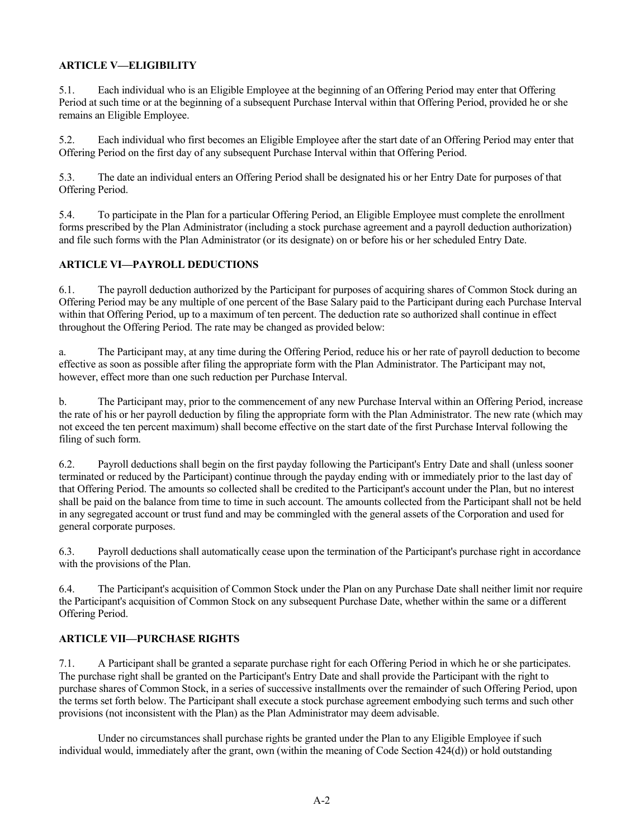# **ARTICLE V—ELIGIBILITY**

5.1. Each individual who is an Eligible Employee at the beginning of an Offering Period may enter that Offering Period at such time or at the beginning of a subsequent Purchase Interval within that Offering Period, provided he or she remains an Eligible Employee.

5.2. Each individual who first becomes an Eligible Employee after the start date of an Offering Period may enter that Offering Period on the first day of any subsequent Purchase Interval within that Offering Period.

5.3. The date an individual enters an Offering Period shall be designated his or her Entry Date for purposes of that Offering Period.

5.4. To participate in the Plan for a particular Offering Period, an Eligible Employee must complete the enrollment forms prescribed by the Plan Administrator (including a stock purchase agreement and a payroll deduction authorization) and file such forms with the Plan Administrator (or its designate) on or before his or her scheduled Entry Date.

# **ARTICLE VI—PAYROLL DEDUCTIONS**

6.1. The payroll deduction authorized by the Participant for purposes of acquiring shares of Common Stock during an Offering Period may be any multiple of one percent of the Base Salary paid to the Participant during each Purchase Interval within that Offering Period, up to a maximum of ten percent. The deduction rate so authorized shall continue in effect throughout the Offering Period. The rate may be changed as provided below:

a. The Participant may, at any time during the Offering Period, reduce his or her rate of payroll deduction to become effective as soon as possible after filing the appropriate form with the Plan Administrator. The Participant may not, however, effect more than one such reduction per Purchase Interval.

b. The Participant may, prior to the commencement of any new Purchase Interval within an Offering Period, increase the rate of his or her payroll deduction by filing the appropriate form with the Plan Administrator. The new rate (which may not exceed the ten percent maximum) shall become effective on the start date of the first Purchase Interval following the filing of such form.

6.2. Payroll deductions shall begin on the first payday following the Participant's Entry Date and shall (unless sooner terminated or reduced by the Participant) continue through the payday ending with or immediately prior to the last day of that Offering Period. The amounts so collected shall be credited to the Participant's account under the Plan, but no interest shall be paid on the balance from time to time in such account. The amounts collected from the Participant shall not be held in any segregated account or trust fund and may be commingled with the general assets of the Corporation and used for general corporate purposes.

6.3. Payroll deductions shall automatically cease upon the termination of the Participant's purchase right in accordance with the provisions of the Plan.

6.4. The Participant's acquisition of Common Stock under the Plan on any Purchase Date shall neither limit nor require the Participant's acquisition of Common Stock on any subsequent Purchase Date, whether within the same or a different Offering Period.

# **ARTICLE VII—PURCHASE RIGHTS**

7.1. A Participant shall be granted a separate purchase right for each Offering Period in which he or she participates. The purchase right shall be granted on the Participant's Entry Date and shall provide the Participant with the right to purchase shares of Common Stock, in a series of successive installments over the remainder of such Offering Period, upon the terms set forth below. The Participant shall execute a stock purchase agreement embodying such terms and such other provisions (not inconsistent with the Plan) as the Plan Administrator may deem advisable.

Under no circumstances shall purchase rights be granted under the Plan to any Eligible Employee if such individual would, immediately after the grant, own (within the meaning of Code Section 424(d)) or hold outstanding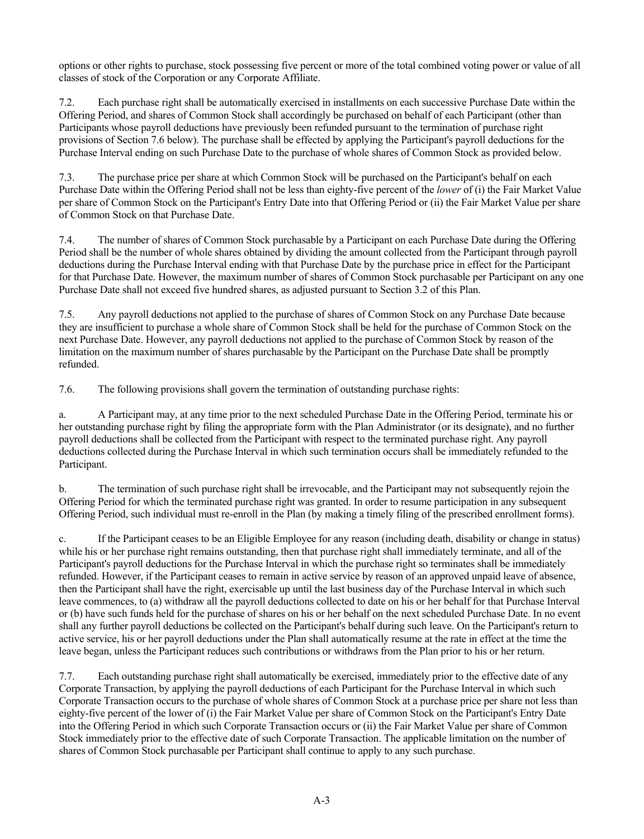options or other rights to purchase, stock possessing five percent or more of the total combined voting power or value of all classes of stock of the Corporation or any Corporate Affiliate.

7.2. Each purchase right shall be automatically exercised in installments on each successive Purchase Date within the Offering Period, and shares of Common Stock shall accordingly be purchased on behalf of each Participant (other than Participants whose payroll deductions have previously been refunded pursuant to the termination of purchase right provisions of Section 7.6 below). The purchase shall be effected by applying the Participant's payroll deductions for the Purchase Interval ending on such Purchase Date to the purchase of whole shares of Common Stock as provided below.

7.3. The purchase price per share at which Common Stock will be purchased on the Participant's behalf on each Purchase Date within the Offering Period shall not be less than eighty-five percent of the *lower* of (i) the Fair Market Value per share of Common Stock on the Participant's Entry Date into that Offering Period or (ii) the Fair Market Value per share of Common Stock on that Purchase Date.

7.4. The number of shares of Common Stock purchasable by a Participant on each Purchase Date during the Offering Period shall be the number of whole shares obtained by dividing the amount collected from the Participant through payroll deductions during the Purchase Interval ending with that Purchase Date by the purchase price in effect for the Participant for that Purchase Date. However, the maximum number of shares of Common Stock purchasable per Participant on any one Purchase Date shall not exceed five hundred shares, as adjusted pursuant to Section 3.2 of this Plan.

7.5. Any payroll deductions not applied to the purchase of shares of Common Stock on any Purchase Date because they are insufficient to purchase a whole share of Common Stock shall be held for the purchase of Common Stock on the next Purchase Date. However, any payroll deductions not applied to the purchase of Common Stock by reason of the limitation on the maximum number of shares purchasable by the Participant on the Purchase Date shall be promptly refunded.

7.6. The following provisions shall govern the termination of outstanding purchase rights:

a. A Participant may, at any time prior to the next scheduled Purchase Date in the Offering Period, terminate his or her outstanding purchase right by filing the appropriate form with the Plan Administrator (or its designate), and no further payroll deductions shall be collected from the Participant with respect to the terminated purchase right. Any payroll deductions collected during the Purchase Interval in which such termination occurs shall be immediately refunded to the Participant.

b. The termination of such purchase right shall be irrevocable, and the Participant may not subsequently rejoin the Offering Period for which the terminated purchase right was granted. In order to resume participation in any subsequent Offering Period, such individual must re-enroll in the Plan (by making a timely filing of the prescribed enrollment forms).

c. If the Participant ceases to be an Eligible Employee for any reason (including death, disability or change in status) while his or her purchase right remains outstanding, then that purchase right shall immediately terminate, and all of the Participant's payroll deductions for the Purchase Interval in which the purchase right so terminates shall be immediately refunded. However, if the Participant ceases to remain in active service by reason of an approved unpaid leave of absence, then the Participant shall have the right, exercisable up until the last business day of the Purchase Interval in which such leave commences, to (a) withdraw all the payroll deductions collected to date on his or her behalf for that Purchase Interval or (b) have such funds held for the purchase of shares on his or her behalf on the next scheduled Purchase Date. In no event shall any further payroll deductions be collected on the Participant's behalf during such leave. On the Participant's return to active service, his or her payroll deductions under the Plan shall automatically resume at the rate in effect at the time the leave began, unless the Participant reduces such contributions or withdraws from the Plan prior to his or her return.

7.7. Each outstanding purchase right shall automatically be exercised, immediately prior to the effective date of any Corporate Transaction, by applying the payroll deductions of each Participant for the Purchase Interval in which such Corporate Transaction occurs to the purchase of whole shares of Common Stock at a purchase price per share not less than eighty-five percent of the lower of (i) the Fair Market Value per share of Common Stock on the Participant's Entry Date into the Offering Period in which such Corporate Transaction occurs or (ii) the Fair Market Value per share of Common Stock immediately prior to the effective date of such Corporate Transaction. The applicable limitation on the number of shares of Common Stock purchasable per Participant shall continue to apply to any such purchase.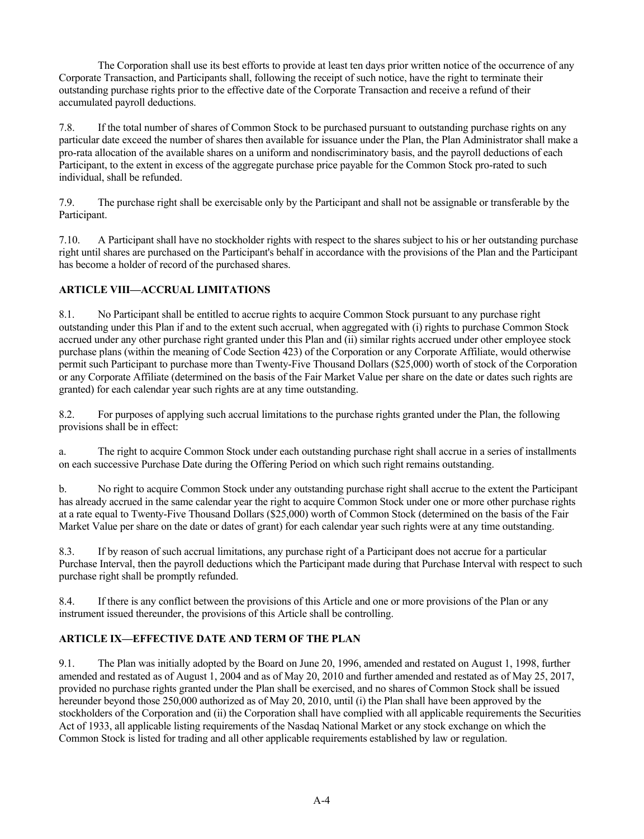The Corporation shall use its best efforts to provide at least ten days prior written notice of the occurrence of any Corporate Transaction, and Participants shall, following the receipt of such notice, have the right to terminate their outstanding purchase rights prior to the effective date of the Corporate Transaction and receive a refund of their accumulated payroll deductions.

7.8. If the total number of shares of Common Stock to be purchased pursuant to outstanding purchase rights on any particular date exceed the number of shares then available for issuance under the Plan, the Plan Administrator shall make a pro-rata allocation of the available shares on a uniform and nondiscriminatory basis, and the payroll deductions of each Participant, to the extent in excess of the aggregate purchase price payable for the Common Stock pro-rated to such individual, shall be refunded.

7.9. The purchase right shall be exercisable only by the Participant and shall not be assignable or transferable by the Participant.

7.10. A Participant shall have no stockholder rights with respect to the shares subject to his or her outstanding purchase right until shares are purchased on the Participant's behalf in accordance with the provisions of the Plan and the Participant has become a holder of record of the purchased shares.

# **ARTICLE VIII—ACCRUAL LIMITATIONS**

8.1. No Participant shall be entitled to accrue rights to acquire Common Stock pursuant to any purchase right outstanding under this Plan if and to the extent such accrual, when aggregated with (i) rights to purchase Common Stock accrued under any other purchase right granted under this Plan and (ii) similar rights accrued under other employee stock purchase plans (within the meaning of Code Section 423) of the Corporation or any Corporate Affiliate, would otherwise permit such Participant to purchase more than Twenty-Five Thousand Dollars (\$25,000) worth of stock of the Corporation or any Corporate Affiliate (determined on the basis of the Fair Market Value per share on the date or dates such rights are granted) for each calendar year such rights are at any time outstanding.

8.2. For purposes of applying such accrual limitations to the purchase rights granted under the Plan, the following provisions shall be in effect:

a. The right to acquire Common Stock under each outstanding purchase right shall accrue in a series of installments on each successive Purchase Date during the Offering Period on which such right remains outstanding.

b. No right to acquire Common Stock under any outstanding purchase right shall accrue to the extent the Participant has already accrued in the same calendar year the right to acquire Common Stock under one or more other purchase rights at a rate equal to Twenty-Five Thousand Dollars (\$25,000) worth of Common Stock (determined on the basis of the Fair Market Value per share on the date or dates of grant) for each calendar year such rights were at any time outstanding.

8.3. If by reason of such accrual limitations, any purchase right of a Participant does not accrue for a particular Purchase Interval, then the payroll deductions which the Participant made during that Purchase Interval with respect to such purchase right shall be promptly refunded.

8.4. If there is any conflict between the provisions of this Article and one or more provisions of the Plan or any instrument issued thereunder, the provisions of this Article shall be controlling.

# **ARTICLE IX—EFFECTIVE DATE AND TERM OF THE PLAN**

9.1. The Plan was initially adopted by the Board on June 20, 1996, amended and restated on August 1, 1998, further amended and restated as of August 1, 2004 and as of May 20, 2010 and further amended and restated as of May 25, 2017, provided no purchase rights granted under the Plan shall be exercised, and no shares of Common Stock shall be issued hereunder beyond those 250,000 authorized as of May 20, 2010, until (i) the Plan shall have been approved by the stockholders of the Corporation and (ii) the Corporation shall have complied with all applicable requirements the Securities Act of 1933, all applicable listing requirements of the Nasdaq National Market or any stock exchange on which the Common Stock is listed for trading and all other applicable requirements established by law or regulation.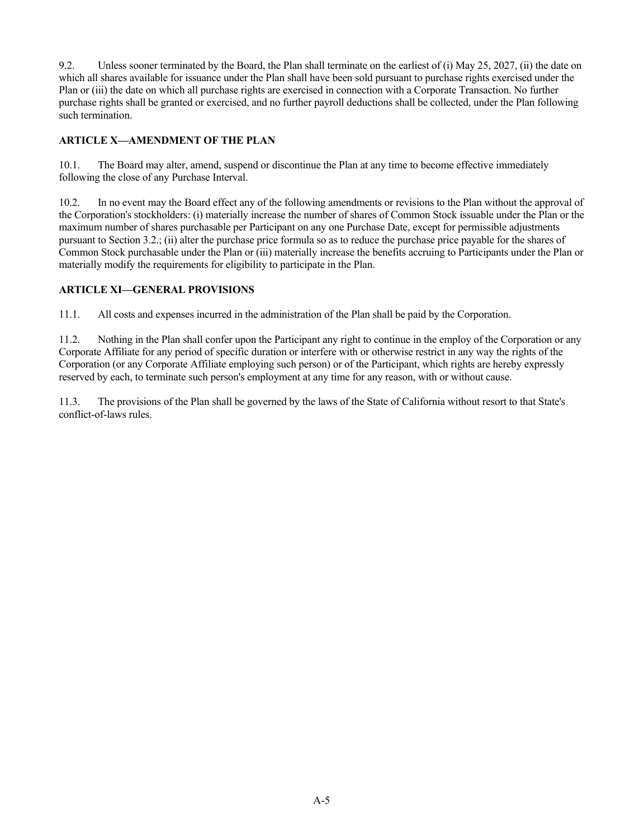9.2. Unless sooner terminated by the Board, the Plan shall terminate on the earliest of (i) May 25, 2027, (ii) the date on which all shares available for issuance under the Plan shall have been sold pursuant to purchase rights exercised under the Plan or (iii) the date on which all purchase rights are exercised in connection with a Corporate Transaction. No further purchase rights shall be granted or exercised, and no further payroll deductions shall be collected, under the Plan following such termination.

# **ARTICLE X—AMENDMENT OF THE PLAN**

10.1. The Board may alter, amend, suspend or discontinue the Plan at any time to become effective immediately following the close of any Purchase Interval.

10.2. In no event may the Board effect any of the following amendments or revisions to the Plan without the approval of the Corporation's stockholders: (i) materially increase the number of shares of Common Stock issuable under the Plan or the maximum number of shares purchasable per Participant on any one Purchase Date, except for permissible adjustments pursuant to Section 3.2.; (ii) alter the purchase price formula so as to reduce the purchase price payable for the shares of Common Stock purchasable under the Plan or (iii) materially increase the benefits accruing to Participants under the Plan or materially modify the requirements for eligibility to participate in the Plan.

# **ARTICLE XI—GENERAL PROVISIONS**

11.1. All costs and expenses incurred in the administration of the Plan shall be paid by the Corporation.

11.2. Nothing in the Plan shall confer upon the Participant any right to continue in the employ of the Corporation or any Corporate Affiliate for any period of specific duration or interfere with or otherwise restrict in any way the rights of the Corporation (or any Corporate Affiliate employing such person) or of the Participant, which rights are hereby expressly reserved by each, to terminate such person's employment at any time for any reason, with or without cause.

11.3. The provisions of the Plan shall be governed by the laws of the State of California without resort to that State's conflict-of-laws rules.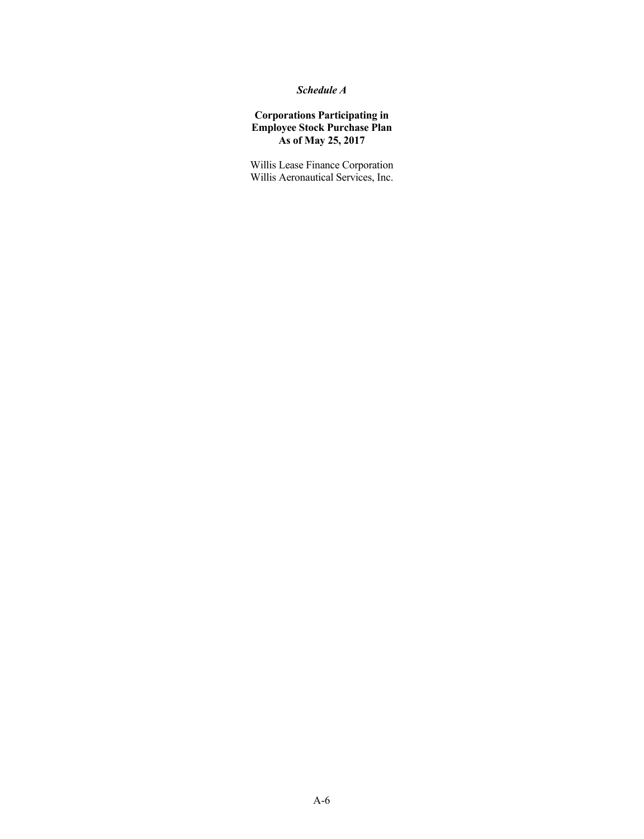# *Schedule A*

# **Corporations Participating in Employee Stock Purchase Plan As of May 25, 2017**

Willis Lease Finance Corporation Willis Aeronautical Services, Inc.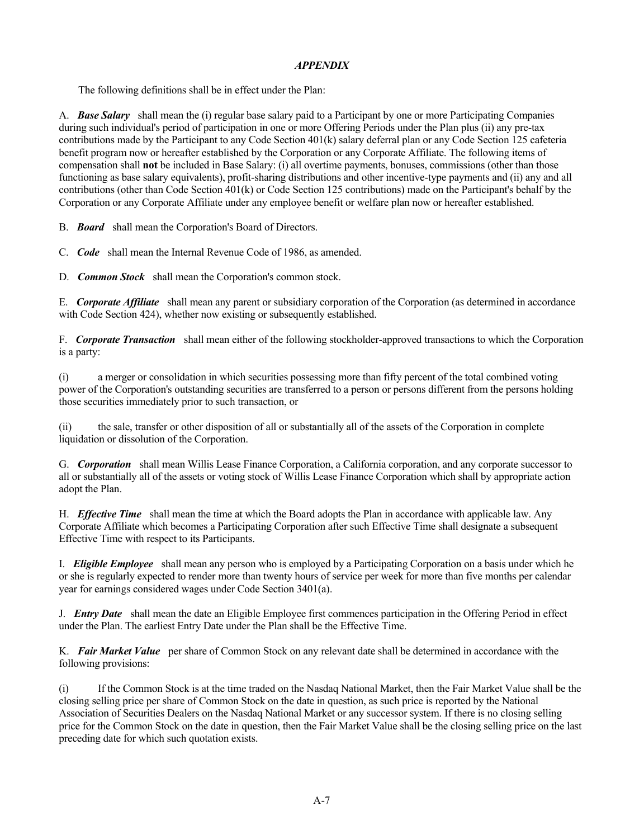# *APPENDIX*

The following definitions shall be in effect under the Plan:

A. *Base Salary* shall mean the (i) regular base salary paid to a Participant by one or more Participating Companies during such individual's period of participation in one or more Offering Periods under the Plan plus (ii) any pre-tax contributions made by the Participant to any Code Section 401(k) salary deferral plan or any Code Section 125 cafeteria benefit program now or hereafter established by the Corporation or any Corporate Affiliate. The following items of compensation shall **not** be included in Base Salary: (i) all overtime payments, bonuses, commissions (other than those functioning as base salary equivalents), profit-sharing distributions and other incentive-type payments and (ii) any and all contributions (other than Code Section 401(k) or Code Section 125 contributions) made on the Participant's behalf by the Corporation or any Corporate Affiliate under any employee benefit or welfare plan now or hereafter established.

B. *Board* shall mean the Corporation's Board of Directors.

C. *Code* shall mean the Internal Revenue Code of 1986, as amended.

D. *Common Stock* shall mean the Corporation's common stock.

E. *Corporate Affiliate* shall mean any parent or subsidiary corporation of the Corporation (as determined in accordance with Code Section 424), whether now existing or subsequently established.

F. *Corporate Transaction* shall mean either of the following stockholder-approved transactions to which the Corporation is a party:

(i) a merger or consolidation in which securities possessing more than fifty percent of the total combined voting power of the Corporation's outstanding securities are transferred to a person or persons different from the persons holding those securities immediately prior to such transaction, or

(ii) the sale, transfer or other disposition of all or substantially all of the assets of the Corporation in complete liquidation or dissolution of the Corporation.

G. *Corporation* shall mean Willis Lease Finance Corporation, a California corporation, and any corporate successor to all or substantially all of the assets or voting stock of Willis Lease Finance Corporation which shall by appropriate action adopt the Plan.

H. *Effective Time* shall mean the time at which the Board adopts the Plan in accordance with applicable law. Any Corporate Affiliate which becomes a Participating Corporation after such Effective Time shall designate a subsequent Effective Time with respect to its Participants.

I. *Eligible Employee* shall mean any person who is employed by a Participating Corporation on a basis under which he or she is regularly expected to render more than twenty hours of service per week for more than five months per calendar year for earnings considered wages under Code Section 3401(a).

J. *Entry Date* shall mean the date an Eligible Employee first commences participation in the Offering Period in effect under the Plan. The earliest Entry Date under the Plan shall be the Effective Time.

K. *Fair Market Value* per share of Common Stock on any relevant date shall be determined in accordance with the following provisions:

(i) If the Common Stock is at the time traded on the Nasdaq National Market, then the Fair Market Value shall be the closing selling price per share of Common Stock on the date in question, as such price is reported by the National Association of Securities Dealers on the Nasdaq National Market or any successor system. If there is no closing selling price for the Common Stock on the date in question, then the Fair Market Value shall be the closing selling price on the last preceding date for which such quotation exists.